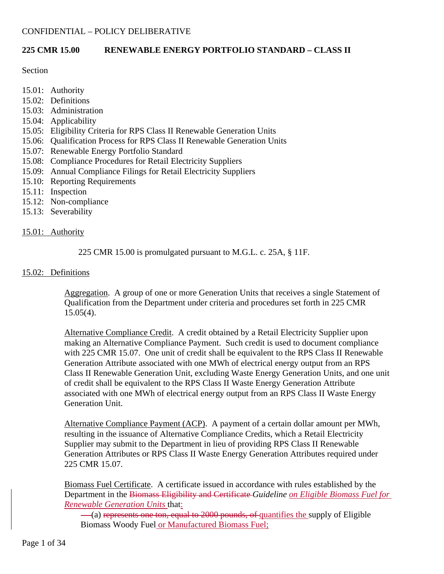## **225 CMR 15.00 RENEWABLE ENERGY PORTFOLIO STANDARD – CLASS II**

#### **Section**

- 15.01: Authority
- 15.02: Definitions
- 15.03: Administration
- 15.04: Applicability
- 15.05: Eligibility Criteria for RPS Class II Renewable Generation Units
- 15.06: Qualification Process for RPS Class II Renewable Generation Units
- 15.07: Renewable Energy Portfolio Standard
- 15.08: Compliance Procedures for Retail Electricity Suppliers
- 15.09: Annual Compliance Filings for Retail Electricity Suppliers
- 15.10: Reporting Requirements
- 15.11: Inspection
- 15.12: Non-compliance
- 15.13: Severability

## 15.01: Authority

## 225 CMR 15.00 is promulgated pursuant to M.G.L. c. 25A, § 11F.

#### 15.02: Definitions

Aggregation. A group of one or more Generation Units that receives a single Statement of Qualification from the Department under criteria and procedures set forth in 225 CMR  $15.05(4)$ .

Alternative Compliance Credit. A credit obtained by a Retail Electricity Supplier upon making an Alternative Compliance Payment. Such credit is used to document compliance with 225 CMR 15.07. One unit of credit shall be equivalent to the RPS Class II Renewable Generation Attribute associated with one MWh of electrical energy output from an RPS Class II Renewable Generation Unit, excluding Waste Energy Generation Units, and one unit of credit shall be equivalent to the RPS Class II Waste Energy Generation Attribute associated with one MWh of electrical energy output from an RPS Class II Waste Energy Generation Unit.

Alternative Compliance Payment (ACP). A payment of a certain dollar amount per MWh, resulting in the issuance of Alternative Compliance Credits, which a Retail Electricity Supplier may submit to the Department in lieu of providing RPS Class II Renewable Generation Attributes or RPS Class II Waste Energy Generation Attributes required under 225 CMR 15.07.

Biomass Fuel Certificate. A certificate issued in accordance with rules established by the Department in the Biomass Eligibility and Certificate *Guideline on Eligible Biomass Fuel for Renewable Generation Units* that:

(a) represents one ton, equal to 2000 pounds, of quantifies the supply of Eligible Biomass Woody Fuel or Manufactured Biomass Fuel;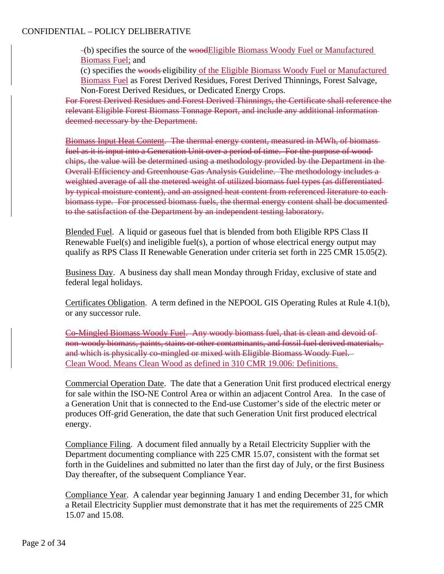(b) specifies the source of the woodEligible Biomass Woody Fuel or Manufactured Biomass Fuel; and

(c) specifies the woods eligibility of the Eligible Biomass Woody Fuel or Manufactured Biomass Fuel as Forest Derived Residues, Forest Derived Thinnings, Forest Salvage, Non-Forest Derived Residues, or Dedicated Energy Crops.

For Forest Derived Residues and Forest Derived Thinnings, the Certificate shall reference the relevant Eligible Forest Biomass Tonnage Report, and include any additional information deemed necessary by the Department.

Biomass Input Heat Content. The thermal energy content, measured in MWh, of biomass fuel as it is input into a Generation Unit over a period of time. For the purpose of wood chips, the value will be determined using a methodology provided by the Department in the Overall Efficiency and Greenhouse Gas Analysis Guideline. The methodology includes a weighted average of all the metered weight of utilized biomass fuel types (as differentiated by typical moisture content), and an assigned heat content from referenced literature to each biomass type. For processed biomass fuels, the thermal energy content shall be documented to the satisfaction of the Department by an independent testing laboratory.

Blended Fuel. A liquid or gaseous fuel that is blended from both Eligible RPS Class II Renewable Fuel(s) and ineligible fuel(s), a portion of whose electrical energy output may qualify as RPS Class II Renewable Generation under criteria set forth in 225 CMR 15.05(2).

Business Day. A business day shall mean Monday through Friday, exclusive of state and federal legal holidays.

Certificates Obligation. A term defined in the NEPOOL GIS Operating Rules at Rule 4.1(b), or any successor rule.

Co-Mingled Biomass Woody Fuel. Any woody biomass fuel, that is clean and devoid of non-woody biomass, paints, stains or other contaminants, and fossil fuel derived materials, and which is physically co-mingled or mixed with Eligible Biomass Woody Fuel. Clean Wood. Means Clean Wood as defined in 310 CMR 19.006: Definitions.

Commercial Operation Date. The date that a Generation Unit first produced electrical energy for sale within the ISO-NE Control Area or within an adjacent Control Area. In the case of a Generation Unit that is connected to the End-use Customer's side of the electric meter or produces Off-grid Generation, the date that such Generation Unit first produced electrical energy.

Compliance Filing. A document filed annually by a Retail Electricity Supplier with the Department documenting compliance with 225 CMR 15.07, consistent with the format set forth in the Guidelines and submitted no later than the first day of July, or the first Business Day thereafter, of the subsequent Compliance Year.

Compliance Year. A calendar year beginning January 1 and ending December 31, for which a Retail Electricity Supplier must demonstrate that it has met the requirements of 225 CMR 15.07 and 15.08.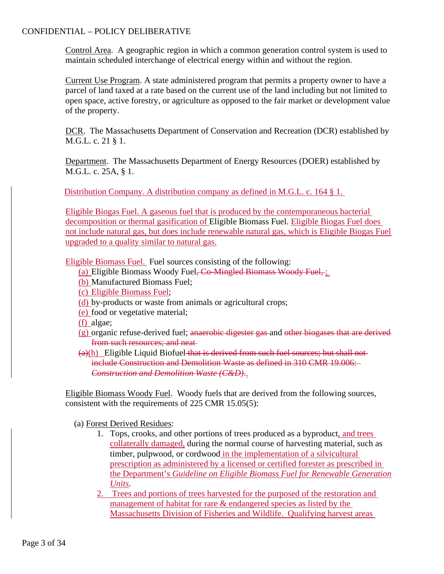Control Area. A geographic region in which a common generation control system is used to maintain scheduled interchange of electrical energy within and without the region.

Current Use Program. A state administered program that permits a property owner to have a parcel of land taxed at a rate based on the current use of the land including but not limited to open space, active forestry, or agriculture as opposed to the fair market or development value of the property.

DCR. The Massachusetts Department of Conservation and Recreation (DCR) established by M.G.L. c. 21 § 1.

Department. The Massachusetts Department of Energy Resources (DOER) established by M.G.L. c. 25A, § 1.

Distribution Company. A distribution company as defined in M.G.L. c. 164 § 1.

Eligible Biogas Fuel. A gaseous fuel that is produced by the contemporaneous bacterial decomposition or thermal gasification of Eligible Biomass Fuel. Eligible Biogas Fuel does not include natural gas, but does include renewable natural gas, which is Eligible Biogas Fuel upgraded to a quality similar to natural gas.

Eligible Biomass Fuel. Fuel sources consisting of the following:

- (a) Eligible Biomass Woody Fuel<del>, Co-Mingled Biomass Woody Fuel,</del> ;
- (b) Manufactured Biomass Fuel;
- (c) Eligible Biomass Fuel;
- (d) by-products or waste from animals or agricultural crops;
- (e) food or vegetative material;
- (f) algae;
- (g) organic refuse-derived fuel; anaerobic digester gas and other biogases that are derived from such resources; and neat
- $(a)$ (h) Eligible Liquid Biofuel that is derived from such fuel sources; but shall not include Construction and Demolition Waste as defined in 310 CMR 19.006: *Construction and Demolition Waste (C&D)*..

Eligible Biomass Woody Fuel. Woody fuels that are derived from the following sources, consistent with the requirements of 225 CMR 15.05(5):

(a) Forest Derived Residues:

- 1. Tops, crooks, and other portions of trees produced as a byproduct, and trees collaterally damaged, during the normal course of harvesting material, such as timber, pulpwood, or cordwood in the implementation of a silvicultural prescription as administered by a licensed or certified forester as prescribed in the Department's *Guideline on Eligible Biomass Fuel for Renewable Generation Units*.
- 2. Trees and portions of trees harvested for the purposed of the restoration and management of habitat for rare & endangered species as listed by the Massachusetts Division of Fisheries and Wildlife. Qualifying harvest areas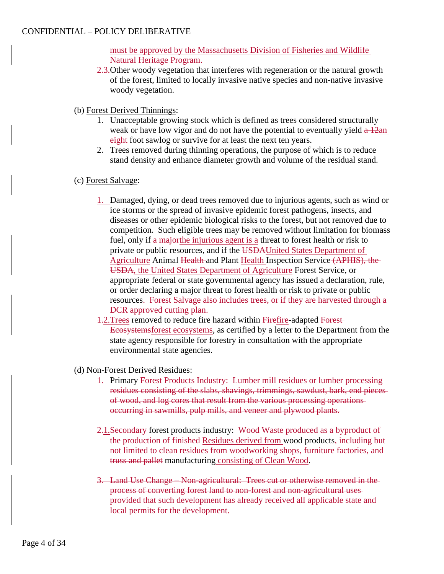must be approved by the Massachusetts Division of Fisheries and Wildlife Natural Heritage Program.

- 2.3. Other woody vegetation that interferes with regeneration or the natural growth of the forest, limited to locally invasive native species and non-native invasive woody vegetation.
- (b) Forest Derived Thinnings:
	- 1. Unacceptable growing stock which is defined as trees considered structurally weak or have low vigor and do not have the potential to eventually yield  $a\frac{12an}{a}$ eight foot sawlog or survive for at least the next ten years.
	- 2. Trees removed during thinning operations, the purpose of which is to reduce stand density and enhance diameter growth and volume of the residual stand.
- (c) Forest Salvage:
	- 1. Damaged, dying, or dead trees removed due to injurious agents, such as wind or ice storms or the spread of invasive epidemic forest pathogens, insects, and diseases or other epidemic biological risks to the forest, but not removed due to competition. Such eligible trees may be removed without limitation for biomass fuel, only if a major the injurious agent is a threat to forest health or risk to private or public resources, and if the USDAUnited States Department of Agriculture Animal Health and Plant Health Inspection Service (APHIS), the USDA, the United States Department of Agriculture Forest Service, or appropriate federal or state governmental agency has issued a declaration, rule, or order declaring a major threat to forest health or risk to private or public resources. Forest Salvage also includes trees, or if they are harvested through a DCR approved cutting plan.
	- 1.2.Trees removed to reduce fire hazard within Firefire-adapted Forest Ecosystemsforest ecosystems, as certified by a letter to the Department from the state agency responsible for forestry in consultation with the appropriate environmental state agencies.
- (d) Non-Forest Derived Residues:
	- 1. Primary Forest Products Industry: Lumber mill residues or lumber processing residues consisting of the slabs, shavings, trimmings, sawdust, bark, end pieces of wood, and log cores that result from the various processing operations occurring in sawmills, pulp mills, and veneer and plywood plants.
	- 2.1. Secondary forest products industry: Wood Waste produced as a byproduct of the production of finished-Residues derived from wood products, including butnot limited to clean residues from woodworking shops, furniture factories, and truss and pallet manufacturing consisting of Clean Wood.
	- 3. Land Use Change Non-agricultural: Trees cut or otherwise removed in the process of converting forest land to non-forest and non-agricultural uses provided that such development has already received all applicable state and local permits for the development.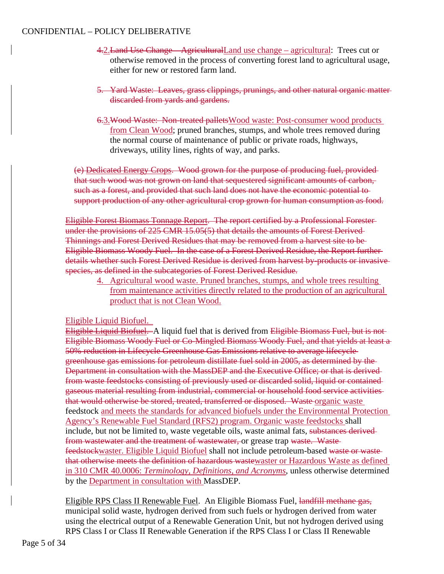- 4.2.Land Use Change AgriculturalLand use change agricultural: Trees cut or otherwise removed in the process of converting forest land to agricultural usage, either for new or restored farm land.
- 5. Yard Waste: Leaves, grass clippings, prunings, and other natural organic matter discarded from yards and gardens.
- 6.3.Wood Waste: Non-treated palletsWood waste: Post-consumer wood products from Clean Wood; pruned branches, stumps, and whole trees removed during the normal course of maintenance of public or private roads, highways, driveways, utility lines, rights of way, and parks.

(e) Dedicated Energy Crops. Wood grown for the purpose of producing fuel, provided that such wood was not grown on land that sequestered significant amounts of carbon, such as a forest, and provided that such land does not have the economic potential to support production of any other agricultural crop grown for human consumption as food.

Eligible Forest Biomass Tonnage Report. The report certified by a Professional Forester under the provisions of 225 CMR 15.05(5) that details the amounts of Forest Derived Thinnings and Forest Derived Residues that may be removed from a harvest site to be Eligible Biomass Woody Fuel. In the case of a Forest Derived Residue, the Report further details whether such Forest Derived Residue is derived from harvest by-products or invasive species, as defined in the subcategories of Forest Derived Residue.

4. Agricultural wood waste. Pruned branches, stumps, and whole trees resulting from maintenance activities directly related to the production of an agricultural product that is not Clean Wood.

## Eligible Liquid Biofuel.

Eligible Liquid Biofuel. A liquid fuel that is derived from Eligible Biomass Fuel, but is not Eligible Biomass Woody Fuel or Co-Mingled Biomass Woody Fuel, and that yields at least a 50% reduction in Lifecycle Greenhouse Gas Emissions relative to average lifecycle greenhouse gas emissions for petroleum distillate fuel sold in 2005, as determined by the Department in consultation with the MassDEP and the Executive Office; or that is derived from waste feedstocks consisting of previously used or discarded solid, liquid or contained gaseous material resulting from industrial, commercial or household food service activities that would otherwise be stored, treated, transferred or disposed. Waste organic waste feedstock and meets the standards for advanced biofuels under the Environmental Protection Agency's Renewable Fuel Standard (RFS2) program. Organic waste feedstocks shall include, but not be limited to, waste vegetable oils, waste animal fats, substances derived from wastewater and the treatment of wastewater, or grease trap waste. Wastefeedstockwaster. Eligible Liquid Biofuel shall not include petroleum-based waste or waste that otherwise meets the definition of hazardous wastewaster or Hazardous Waste as defined in 310 CMR 40.0006: *Terminology, Definitions, and Acronyms*, unless otherwise determined by the Department in consultation with MassDEP.

Eligible RPS Class II Renewable Fuel. An Eligible Biomass Fuel, landfill methane gas, municipal solid waste, hydrogen derived from such fuels or hydrogen derived from water using the electrical output of a Renewable Generation Unit, but not hydrogen derived using RPS Class I or Class II Renewable Generation if the RPS Class I or Class II Renewable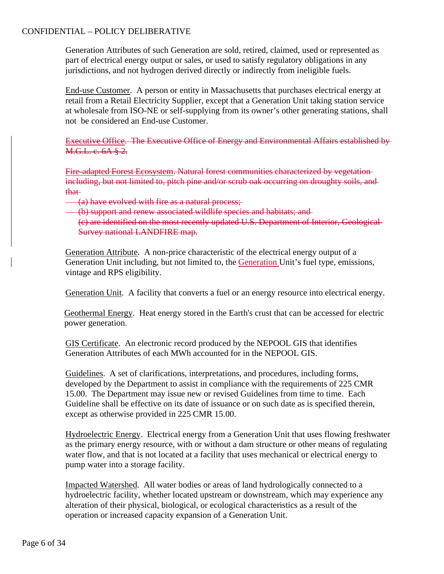Generation Attributes of such Generation are sold, retired, claimed, used or represented as part of electrical energy output or sales, or used to satisfy regulatory obligations in any jurisdictions, and not hydrogen derived directly or indirectly from ineligible fuels.

End-use Customer. A person or entity in Massachusetts that purchases electrical energy at retail from a Retail Electricity Supplier, except that a Generation Unit taking station service at wholesale from ISO-NE or self-supplying from its owner's other generating stations, shall not be considered an End-use Customer.

Executive Office. The Executive Office of Energy and Environmental Affairs established by M.G.L. c. 6A § 2.

Fire-adapted Forest Ecosystem. Natural forest communities characterized by vegetation including, but not limited to, pitch pine and/or scrub oak occurring on droughty soils, and that

- (a) have evolved with fire as a natural process;
- (b) support and renew associated wildlife species and habitats; and
	- (c) are identified on the most recently updated U.S. Department of Interior, Geological Survey national LANDFIRE map.

Generation Attribute. A non-price characteristic of the electrical energy output of a Generation Unit including, but not limited to, the Generation Unit's fuel type, emissions, vintage and RPS eligibility.

Generation Unit. A facility that converts a fuel or an energy resource into electrical energy.

Geothermal Energy. Heat energy stored in the Earth's crust that can be accessed for electric power generation.

GIS Certificate. An electronic record produced by the NEPOOL GIS that identifies Generation Attributes of each MWh accounted for in the NEPOOL GIS.

Guidelines. A set of clarifications, interpretations, and procedures, including forms, developed by the Department to assist in compliance with the requirements of 225 CMR 15.00. The Department may issue new or revised Guidelines from time to time. Each Guideline shall be effective on its date of issuance or on such date as is specified therein, except as otherwise provided in 225 CMR 15.00.

Hydroelectric Energy. Electrical energy from a Generation Unit that uses flowing freshwater as the primary energy resource, with or without a dam structure or other means of regulating water flow, and that is not located at a facility that uses mechanical or electrical energy to pump water into a storage facility.

Impacted Watershed. All water bodies or areas of land hydrologically connected to a hydroelectric facility, whether located upstream or downstream, which may experience any alteration of their physical, biological, or ecological characteristics as a result of the operation or increased capacity expansion of a Generation Unit.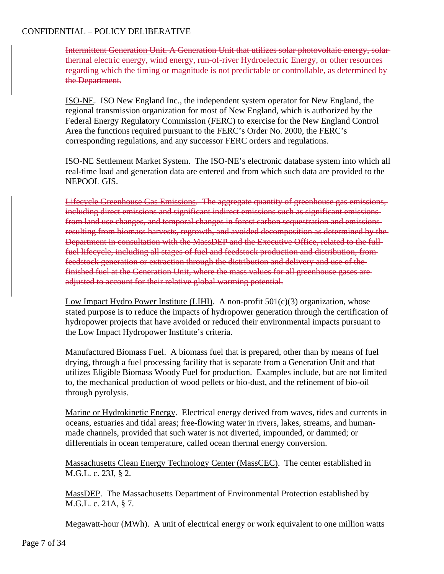Intermittent Generation Unit. A Generation Unit that utilizes solar photovoltaic energy, solar thermal electric energy, wind energy, run-of-river Hydroelectric Energy, or other resources regarding which the timing or magnitude is not predictable or controllable, as determined by the Department.

ISO-NE. ISO New England Inc., the independent system operator for New England, the regional transmission organization for most of New England, which is authorized by the Federal Energy Regulatory Commission (FERC) to exercise for the New England Control Area the functions required pursuant to the FERC's Order No. 2000, the FERC's corresponding regulations, and any successor FERC orders and regulations.

ISO-NE Settlement Market System. The ISO-NE's electronic database system into which all real-time load and generation data are entered and from which such data are provided to the NEPOOL GIS.

Lifecycle Greenhouse Gas Emissions. The aggregate quantity of greenhouse gas emissions, including direct emissions and significant indirect emissions such as significant emissions from land use changes, and temporal changes in forest carbon sequestration and emissions resulting from biomass harvests, regrowth, and avoided decomposition as determined by the Department in consultation with the MassDEP and the Executive Office, related to the full fuel lifecycle, including all stages of fuel and feedstock production and distribution, from feedstock generation or extraction through the distribution and delivery and use of the finished fuel at the Generation Unit, where the mass values for all greenhouse gases are adjusted to account for their relative global warming potential.

Low Impact Hydro Power Institute (LIHI). A non-profit  $501(c)(3)$  organization, whose stated purpose is to reduce the impacts of hydropower generation through the certification of hydropower projects that have avoided or reduced their environmental impacts pursuant to the Low Impact Hydropower Institute's criteria.

Manufactured Biomass Fuel. A biomass fuel that is prepared, other than by means of fuel drying, through a fuel processing facility that is separate from a Generation Unit and that utilizes Eligible Biomass Woody Fuel for production. Examples include, but are not limited to, the mechanical production of wood pellets or bio-dust, and the refinement of bio-oil through pyrolysis.

Marine or Hydrokinetic Energy. Electrical energy derived from waves, tides and currents in oceans, estuaries and tidal areas; free-flowing water in rivers, lakes, streams, and humanmade channels, provided that such water is not diverted, impounded, or dammed; or differentials in ocean temperature, called ocean thermal energy conversion.

Massachusetts Clean Energy Technology Center (MassCEC). The center established in M.G.L. c. 23J, § 2.

MassDEP. The Massachusetts Department of Environmental Protection established by M.G.L. c. 21A, § 7.

Megawatt-hour (MWh). A unit of electrical energy or work equivalent to one million watts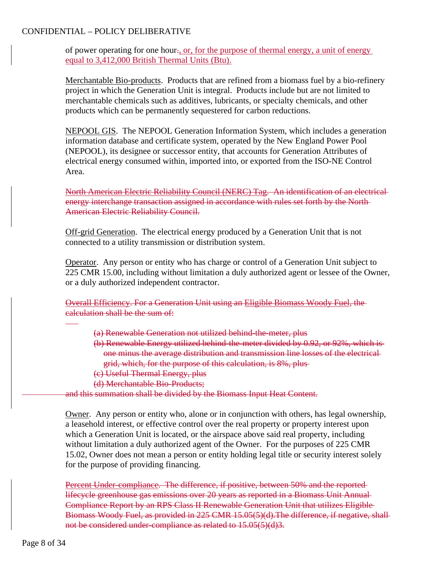of power operating for one hour., or, for the purpose of thermal energy, a unit of energy equal to 3,412,000 British Thermal Units (Btu).

Merchantable Bio-products. Products that are refined from a biomass fuel by a bio-refinery project in which the Generation Unit is integral. Products include but are not limited to merchantable chemicals such as additives, lubricants, or specialty chemicals, and other products which can be permanently sequestered for carbon reductions.

NEPOOL GIS. The NEPOOL Generation Information System, which includes a generation information database and certificate system, operated by the New England Power Pool (NEPOOL), its designee or successor entity, that accounts for Generation Attributes of electrical energy consumed within, imported into, or exported from the ISO-NE Control Area.

North American Electric Reliability Council (NERC) Tag. An identification of an electrical energy interchange transaction assigned in accordance with rules set forth by the North American Electric Reliability Council.

Off-grid Generation. The electrical energy produced by a Generation Unit that is not connected to a utility transmission or distribution system.

Operator. Any person or entity who has charge or control of a Generation Unit subject to 225 CMR 15.00, including without limitation a duly authorized agent or lessee of the Owner, or a duly authorized independent contractor.

Overall Efficiency. For a Generation Unit using an Eligible Biomass Woody Fuel, the calculation shall be the sum of:

- (a) Renewable Generation not utilized behind-the-meter, plus
- (b) Renewable Energy utilized behind-the-meter divided by 0.92, or 92%, which is one minus the average distribution and transmission line losses of the electrical grid, which, for the purpose of this calculation, is 8%, plus
- (c) Useful Thermal Energy, plus
- (d) Merchantable Bio-Products;

and this summation shall be divided by the Biomass Input Heat Content.

Owner. Any person or entity who, alone or in conjunction with others, has legal ownership, a leasehold interest, or effective control over the real property or property interest upon which a Generation Unit is located, or the airspace above said real property, including without limitation a duly authorized agent of the Owner. For the purposes of 225 CMR 15.02, Owner does not mean a person or entity holding legal title or security interest solely for the purpose of providing financing.

Percent Under-compliance. The difference, if positive, between 50% and the reportedlifecycle greenhouse gas emissions over 20 years as reported in a Biomass Unit Annual Compliance Report by an RPS Class II Renewable Generation Unit that utilizes Eligible Biomass Woody Fuel, as provided in 225 CMR 15.05(5)(d).The difference, if negative, shall not be considered under-compliance as related to 15.05(5)(d)3.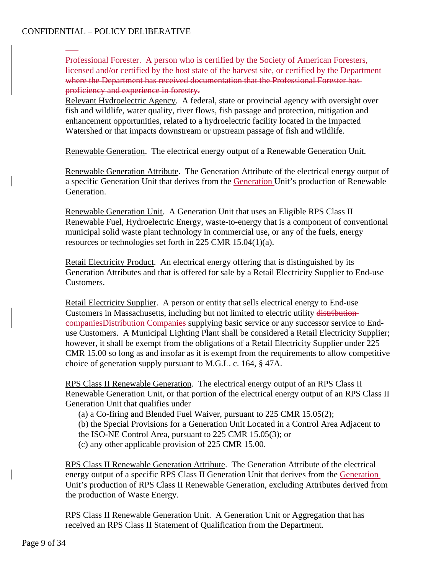Professional Forester. A person who is certified by the Society of American Foresters, licensed and/or certified by the host state of the harvest site, or certified by the Department where the Department has received documentation that the Professional Forester has proficiency and experience in forestry.

Relevant Hydroelectric Agency. A federal, state or provincial agency with oversight over fish and wildlife, water quality, river flows, fish passage and protection, mitigation and enhancement opportunities, related to a hydroelectric facility located in the Impacted Watershed or that impacts downstream or upstream passage of fish and wildlife.

Renewable Generation. The electrical energy output of a Renewable Generation Unit.

Renewable Generation Attribute. The Generation Attribute of the electrical energy output of a specific Generation Unit that derives from the Generation Unit's production of Renewable Generation.

Renewable Generation Unit. A Generation Unit that uses an Eligible RPS Class II Renewable Fuel, Hydroelectric Energy, waste-to-energy that is a component of conventional municipal solid waste plant technology in commercial use, or any of the fuels, energy resources or technologies set forth in 225 CMR 15.04(1)(a).

Retail Electricity Product. An electrical energy offering that is distinguished by its Generation Attributes and that is offered for sale by a Retail Electricity Supplier to End-use Customers.

Retail Electricity Supplier. A person or entity that sells electrical energy to End-use Customers in Massachusetts, including but not limited to electric utility distribution companiesDistribution Companies supplying basic service or any successor service to Enduse Customers. A Municipal Lighting Plant shall be considered a Retail Electricity Supplier; however, it shall be exempt from the obligations of a Retail Electricity Supplier under 225 CMR 15.00 so long as and insofar as it is exempt from the requirements to allow competitive choice of generation supply pursuant to M.G.L. c. 164, § 47A.

RPS Class II Renewable Generation. The electrical energy output of an RPS Class II Renewable Generation Unit, or that portion of the electrical energy output of an RPS Class II Generation Unit that qualifies under

(a) a Co-firing and Blended Fuel Waiver, pursuant to 225 CMR 15.05(2);

- (b) the Special Provisions for a Generation Unit Located in a Control Area Adjacent to
- the ISO-NE Control Area, pursuant to 225 CMR 15.05(3); or
- (c) any other applicable provision of 225 CMR 15.00.

RPS Class II Renewable Generation Attribute. The Generation Attribute of the electrical energy output of a specific RPS Class II Generation Unit that derives from the Generation Unit's production of RPS Class II Renewable Generation, excluding Attributes derived from the production of Waste Energy.

RPS Class II Renewable Generation Unit. A Generation Unit or Aggregation that has received an RPS Class II Statement of Qualification from the Department.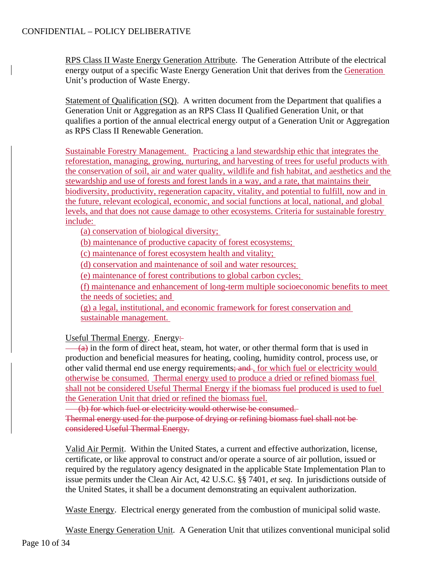RPS Class II Waste Energy Generation Attribute. The Generation Attribute of the electrical energy output of a specific Waste Energy Generation Unit that derives from the Generation Unit's production of Waste Energy.

Statement of Qualification (SQ). A written document from the Department that qualifies a Generation Unit or Aggregation as an RPS Class II Qualified Generation Unit, or that qualifies a portion of the annual electrical energy output of a Generation Unit or Aggregation as RPS Class II Renewable Generation.

Sustainable Forestry Management. Practicing a land stewardship ethic that integrates the reforestation, managing, growing, nurturing, and harvesting of trees for useful products with the conservation of soil, air and water quality, wildlife and fish habitat, and aesthetics and the stewardship and use of forests and forest lands in a way, and a rate, that maintains their biodiversity, productivity, regeneration capacity, vitality, and potential to fulfill, now and in the future, relevant ecological, economic, and social functions at local, national, and global levels, and that does not cause damage to other ecosystems. Criteria for sustainable forestry include:

(a) conservation of biological diversity;

(b) maintenance of productive capacity of forest ecosystems;

(c) maintenance of forest ecosystem health and vitality;

(d) conservation and maintenance of soil and water resources;

(e) maintenance of forest contributions to global carbon cycles;

(f) maintenance and enhancement of long-term multiple socioeconomic benefits to meet the needs of societies; and

(g) a legal, institutional, and economic framework for forest conservation and sustainable management.

Useful Thermal Energy. Energy:

 $(a)$  in the form of direct heat, steam, hot water, or other thermal form that is used in production and beneficial measures for heating, cooling, humidity control, process use, or other valid thermal end use energy requirements; and, for which fuel or electricity would otherwise be consumed. Thermal energy used to produce a dried or refined biomass fuel shall not be considered Useful Thermal Energy if the biomass fuel produced is used to fuel the Generation Unit that dried or refined the biomass fuel.

(b) for which fuel or electricity would otherwise be consumed. Thermal energy used for the purpose of drying or refining biomass fuel shall not be considered Useful Thermal Energy.

Valid Air Permit. Within the United States, a current and effective authorization, license, certificate, or like approval to construct and/or operate a source of air pollution, issued or required by the regulatory agency designated in the applicable State Implementation Plan to issue permits under the Clean Air Act, 42 U.S.C. §§ 7401, *et seq*. In jurisdictions outside of the United States, it shall be a document demonstrating an equivalent authorization.

Waste Energy. Electrical energy generated from the combustion of municipal solid waste.

Waste Energy Generation Unit. A Generation Unit that utilizes conventional municipal solid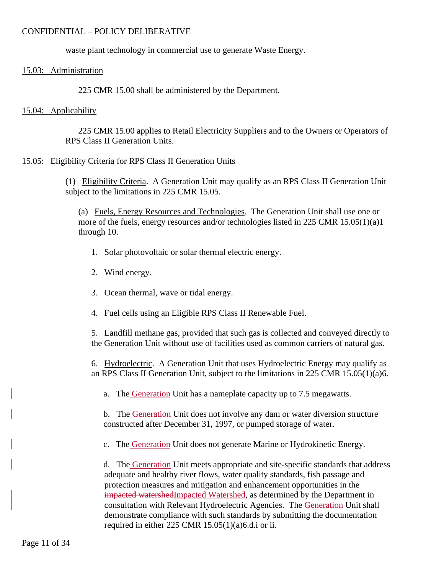waste plant technology in commercial use to generate Waste Energy.

### 15.03: Administration

225 CMR 15.00 shall be administered by the Department.

#### 15.04: Applicability

225 CMR 15.00 applies to Retail Electricity Suppliers and to the Owners or Operators of RPS Class II Generation Units.

## 15.05: Eligibility Criteria for RPS Class II Generation Units

(1) Eligibility Criteria. A Generation Unit may qualify as an RPS Class II Generation Unit subject to the limitations in 225 CMR 15.05.

(a) Fuels, Energy Resources and Technologies. The Generation Unit shall use one or more of the fuels, energy resources and/or technologies listed in 225 CMR 15.05(1)(a)1 through 10.

- 1. Solar photovoltaic or solar thermal electric energy.
- 2. Wind energy.
- 3. Ocean thermal, wave or tidal energy.
- 4. Fuel cells using an Eligible RPS Class II Renewable Fuel.

5. Landfill methane gas, provided that such gas is collected and conveyed directly to the Generation Unit without use of facilities used as common carriers of natural gas.

6. Hydroelectric. A Generation Unit that uses Hydroelectric Energy may qualify as an RPS Class II Generation Unit, subject to the limitations in 225 CMR 15.05(1)(a)6.

a. The Generation Unit has a nameplate capacity up to 7.5 megawatts.

b. The Generation Unit does not involve any dam or water diversion structure constructed after December 31, 1997, or pumped storage of water.

c. The Generation Unit does not generate Marine or Hydrokinetic Energy.

d. The Generation Unit meets appropriate and site-specific standards that address adequate and healthy river flows, water quality standards, fish passage and protection measures and mitigation and enhancement opportunities in the impacted watershedImpacted Watershed, as determined by the Department in consultation with Relevant Hydroelectric Agencies. The Generation Unit shall demonstrate compliance with such standards by submitting the documentation required in either 225 CMR 15.05(1)(a)6.d.i or ii.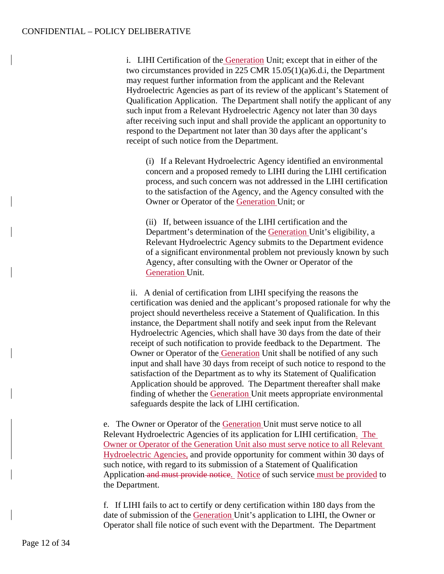i. LIHI Certification of the Generation Unit; except that in either of the two circumstances provided in 225 CMR 15.05(1)(a)6.d.i, the Department may request further information from the applicant and the Relevant Hydroelectric Agencies as part of its review of the applicant's Statement of Qualification Application. The Department shall notify the applicant of any such input from a Relevant Hydroelectric Agency not later than 30 days after receiving such input and shall provide the applicant an opportunity to respond to the Department not later than 30 days after the applicant's receipt of such notice from the Department.

(i) If a Relevant Hydroelectric Agency identified an environmental concern and a proposed remedy to LIHI during the LIHI certification process, and such concern was not addressed in the LIHI certification to the satisfaction of the Agency, and the Agency consulted with the Owner or Operator of the Generation Unit; or

(ii) If, between issuance of the LIHI certification and the Department's determination of the Generation Unit's eligibility, a Relevant Hydroelectric Agency submits to the Department evidence of a significant environmental problem not previously known by such Agency, after consulting with the Owner or Operator of the Generation Unit.

ii. A denial of certification from LIHI specifying the reasons the certification was denied and the applicant's proposed rationale for why the project should nevertheless receive a Statement of Qualification. In this instance, the Department shall notify and seek input from the Relevant Hydroelectric Agencies, which shall have 30 days from the date of their receipt of such notification to provide feedback to the Department. The Owner or Operator of the Generation Unit shall be notified of any such input and shall have 30 days from receipt of such notice to respond to the satisfaction of the Department as to why its Statement of Qualification Application should be approved. The Department thereafter shall make finding of whether the Generation Unit meets appropriate environmental safeguards despite the lack of LIHI certification.

e. The Owner or Operator of the Generation Unit must serve notice to all Relevant Hydroelectric Agencies of its application for LIHI certification. The Owner or Operator of the Generation Unit also must serve notice to all Relevant Hydroelectric Agencies, and provide opportunity for comment within 30 days of such notice, with regard to its submission of a Statement of Qualification Application and must provide notice. Notice of such service must be provided to the Department.

f. If LIHI fails to act to certify or deny certification within 180 days from the date of submission of the Generation Unit's application to LIHI, the Owner or Operator shall file notice of such event with the Department. The Department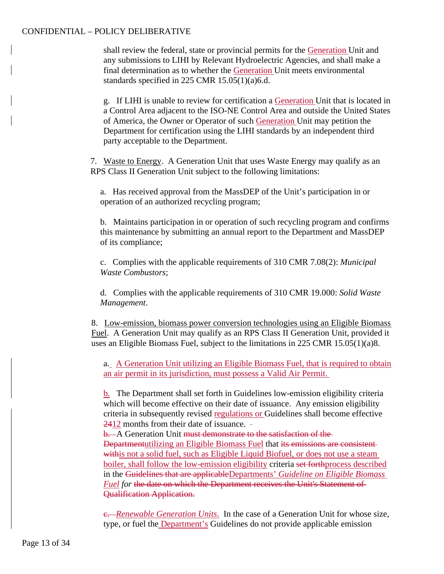shall review the federal, state or provincial permits for the Generation Unit and any submissions to LIHI by Relevant Hydroelectric Agencies, and shall make a final determination as to whether the Generation Unit meets environmental standards specified in 225 CMR 15.05(1)(a)6.d.

g. If LIHI is unable to review for certification a Generation Unit that is located in a Control Area adjacent to the ISO-NE Control Area and outside the United States of America, the Owner or Operator of such Generation Unit may petition the Department for certification using the LIHI standards by an independent third party acceptable to the Department.

7. Waste to Energy. A Generation Unit that uses Waste Energy may qualify as an RPS Class II Generation Unit subject to the following limitations:

a. Has received approval from the MassDEP of the Unit's participation in or operation of an authorized recycling program;

b. Maintains participation in or operation of such recycling program and confirms this maintenance by submitting an annual report to the Department and MassDEP of its compliance;

c. Complies with the applicable requirements of 310 CMR 7.08(2): *Municipal Waste Combustors*;

d. Complies with the applicable requirements of 310 CMR 19.000: *Solid Waste Management*.

8. Low-emission, biomass power conversion technologies using an Eligible Biomass Fuel. A Generation Unit may qualify as an RPS Class II Generation Unit, provided it uses an Eligible Biomass Fuel, subject to the limitations in 225 CMR 15.05(1)(a)8.

a. A Generation Unit utilizing an Eligible Biomass Fuel, that is required to obtain an air permit in its jurisdiction, must possess a Valid Air Permit.

b. The Department shall set forth in Guidelines low-emission eligibility criteria which will become effective on their date of issuance. Any emission eligibility criteria in subsequently revised regulations or Guidelines shall become effective 2412 months from their date of issuance.

b. A Generation Unit must demonstrate to the satisfaction of the Departmentutilizing an Eligible Biomass Fuel that its emissions are consistent withis not a solid fuel, such as Eligible Liquid Biofuel, or does not use a steam boiler, shall follow the low-emission eligibility criteria set forthprocess described in the Guidelines that are applicableDepartments' *Guideline on Eligible Biomass Fuel for* the date on which the Department receives the Unit's Statement of Qualification Application.

c. *Renewable Generation Units*. In the case of a Generation Unit for whose size, type, or fuel the Department's Guidelines do not provide applicable emission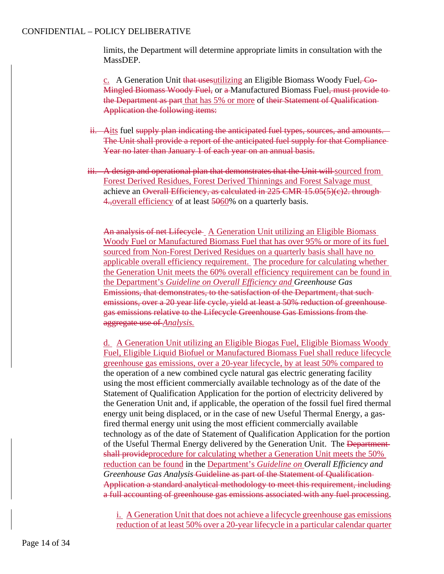limits, the Department will determine appropriate limits in consultation with the MassDEP.

c. A Generation Unit that usesutilizing an Eligible Biomass Woody Fuel, Co-Mingled Biomass Woody Fuel, or a Manufactured Biomass Fuel, must provide to the Department as part that has 5% or more of their Statement of Qualification-Application the following items:

- ii. Aits fuel supply plan indicating the anticipated fuel types, sources, and amounts. The Unit shall provide a report of the anticipated fuel supply for that Compliance Year no later than January 1 of each year on an annual basis.
- iii. A design and operational plan that demonstrates that the Unit will sourced from Forest Derived Residues, Forest Derived Thinnings and Forest Salvage must achieve an Overall Efficiency, as calculated in 225 CMR 15.05(5)(c)2. through-4., overall efficiency of at least 5060% on a quarterly basis.

An analysis of net Lifecycle A Generation Unit utilizing an Eligible Biomass Woody Fuel or Manufactured Biomass Fuel that has over 95% or more of its fuel sourced from Non-Forest Derived Residues on a quarterly basis shall have no applicable overall efficiency requirement. The procedure for calculating whether the Generation Unit meets the 60% overall efficiency requirement can be found in the Department's *Guideline on Overall Efficiency and Greenhouse Gas*  Emissions, that demonstrates, to the satisfaction of the Department, that such emissions, over a 20 year life cycle, yield at least a 50% reduction of greenhouse gas emissions relative to the Lifecycle Greenhouse Gas Emissions from the aggregate use of *Analysis.*

d. A Generation Unit utilizing an Eligible Biogas Fuel, Eligible Biomass Woody Fuel, Eligible Liquid Biofuel or Manufactured Biomass Fuel shall reduce lifecycle greenhouse gas emissions, over a 20-year lifecycle, by at least 50% compared to the operation of a new combined cycle natural gas electric generating facility using the most efficient commercially available technology as of the date of the Statement of Qualification Application for the portion of electricity delivered by the Generation Unit and, if applicable, the operation of the fossil fuel fired thermal energy unit being displaced, or in the case of new Useful Thermal Energy, a gasfired thermal energy unit using the most efficient commercially available technology as of the date of Statement of Qualification Application for the portion of the Useful Thermal Energy delivered by the Generation Unit. The Department shall provideprocedure for calculating whether a Generation Unit meets the 50% reduction can be found in the Department's *Guideline on Overall Efficiency and Greenhouse Gas Analysis* Guideline as part of the Statement of Qualification Application a standard analytical methodology to meet this requirement, including a full accounting of greenhouse gas emissions associated with any fuel processing.

i. A Generation Unit that does not achieve a lifecycle greenhouse gas emissions reduction of at least 50% over a 20-year lifecycle in a particular calendar quarter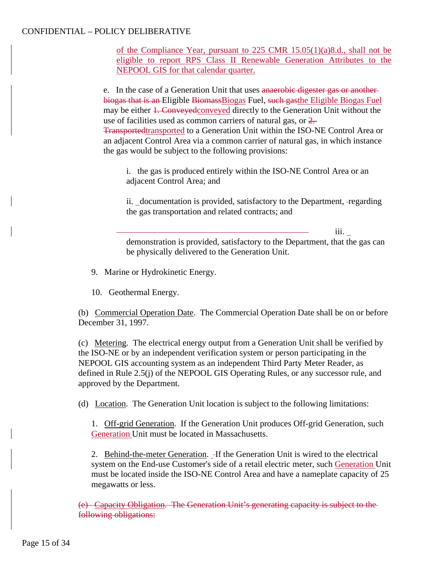of the Compliance Year, pursuant to  $225$  CMR  $15.05(1)(a)8.d.,$  shall not be eligible to report RPS Class II Renewable Generation Attributes to the NEPOOL GIS for that calendar quarter.

e. In the case of a Generation Unit that uses anaerobic digester gas or another biogas that is an Eligible BiomassBiogas Fuel, such gasthe Eligible Biogas Fuel may be either 1. Conveyed conveyed directly to the Generation Unit without the use of facilities used as common carriers of natural gas, or 2. Transportedtransported to a Generation Unit within the ISO-NE Control Area or an adjacent Control Area via a common carrier of natural gas, in which instance the gas would be subject to the following provisions:

i. the gas is produced entirely within the ISO-NE Control Area or an adjacent Control Area; and

ii. documentation is provided, satisfactory to the Department, regarding the gas transportation and related contracts; and

iii. demonstration is provided, satisfactory to the Department, that the gas can be physically delivered to the Generation Unit.

9. Marine or Hydrokinetic Energy.

10. Geothermal Energy.

(b) Commercial Operation Date. The Commercial Operation Date shall be on or before December 31, 1997.

(c) Metering. The electrical energy output from a Generation Unit shall be verified by the ISO-NE or by an independent verification system or person participating in the NEPOOL GIS accounting system as an independent Third Party Meter Reader, as defined in Rule 2.5(j) of the NEPOOL GIS Operating Rules, or any successor rule, and approved by the Department.

(d) Location. The Generation Unit location is subject to the following limitations:

1. Off-grid Generation. If the Generation Unit produces Off-grid Generation, such Generation Unit must be located in Massachusetts.

2. Behind-the-meter Generation. If the Generation Unit is wired to the electrical system on the End-use Customer's side of a retail electric meter, such Generation Unit must be located inside the ISO-NE Control Area and have a nameplate capacity of 25 megawatts or less.

(e) Capacity Obligation. The Generation Unit's generating capacity is subject to the following obligations: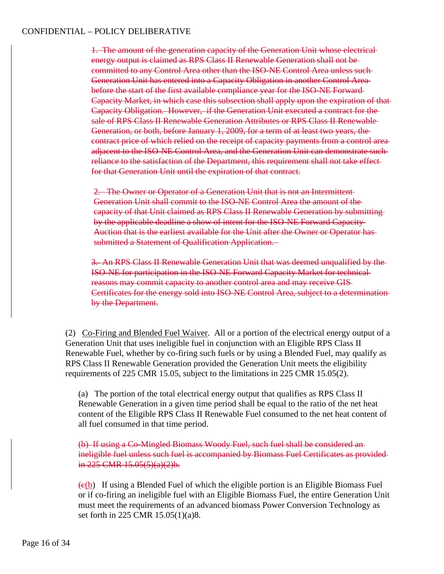1. The amount of the generation capacity of the Generation Unit whose electrical energy output is claimed as RPS Class II Renewable Generation shall not be committed to any Control Area other than the ISO-NE Control Area unless such Generation Unit has entered into a Capacity Obligation in another Control Area before the start of the first available compliance year for the ISO-NE Forward Capacity Market, in which case this subsection shall apply upon the expiration of that Capacity Obligation. However, if the Generation Unit executed a contract for the sale of RPS Class II Renewable Generation Attributes or RPS Class II Renewable Generation, or both, before January 1, 2009, for a term of at least two years, the contract price of which relied on the receipt of capacity payments from a control area adjacent to the ISO-NE Control Area, and the Generation Unit can demonstrate such reliance to the satisfaction of the Department, this requirement shall not take effect for that Generation Unit until the expiration of that contract.

2. The Owner or Operator of a Generation Unit that is not an Intermittent Generation Unit shall commit to the ISO-NE Control Area the amount of the capacity of that Unit claimed as RPS Class II Renewable Generation by submitting by the applicable deadline a show of intent for the ISO-NE Forward Capacity Auction that is the earliest available for the Unit after the Owner or Operator has submitted a Statement of Qualification Application.

3. An RPS Class II Renewable Generation Unit that was deemed unqualified by the ISO-NE for participation in the ISO-NE Forward Capacity Market for technical reasons may commit capacity to another control area and may receive GIS Certificates for the energy sold into ISO-NE Control Area, subject to a determination by the Department.

(2) Co-Firing and Blended Fuel Waiver. All or a portion of the electrical energy output of a Generation Unit that uses ineligible fuel in conjunction with an Eligible RPS Class II Renewable Fuel, whether by co-firing such fuels or by using a Blended Fuel, may qualify as RPS Class II Renewable Generation provided the Generation Unit meets the eligibility requirements of 225 CMR 15.05, subject to the limitations in 225 CMR 15.05(2).

(a) The portion of the total electrical energy output that qualifies as RPS Class II Renewable Generation in a given time period shall be equal to the ratio of the net heat content of the Eligible RPS Class II Renewable Fuel consumed to the net heat content of all fuel consumed in that time period.

(b) If using a Co-Mingled Biomass Woody Fuel, such fuel shall be considered an ineligible fuel unless such fuel is accompanied by Biomass Fuel Certificates as provided in 225 CMR  $15.05(5)(a)(2)b$ .

 $\left(\frac{e(b)}{b}\right)$  If using a Blended Fuel of which the eligible portion is an Eligible Biomass Fuel or if co-firing an ineligible fuel with an Eligible Biomass Fuel, the entire Generation Unit must meet the requirements of an advanced biomass Power Conversion Technology as set forth in 225 CMR 15.05(1)(a)8.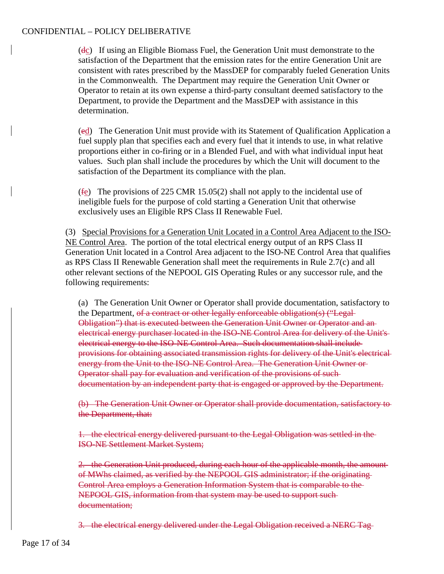(dc) If using an Eligible Biomass Fuel, the Generation Unit must demonstrate to the satisfaction of the Department that the emission rates for the entire Generation Unit are consistent with rates prescribed by the MassDEP for comparably fueled Generation Units in the Commonwealth. The Department may require the Generation Unit Owner or Operator to retain at its own expense a third-party consultant deemed satisfactory to the Department, to provide the Department and the MassDEP with assistance in this determination.

(ed) The Generation Unit must provide with its Statement of Qualification Application a fuel supply plan that specifies each and every fuel that it intends to use, in what relative proportions either in co-firing or in a Blended Fuel, and with what individual input heat values. Such plan shall include the procedures by which the Unit will document to the satisfaction of the Department its compliance with the plan.

(fe) The provisions of 225 CMR 15.05(2) shall not apply to the incidental use of ineligible fuels for the purpose of cold starting a Generation Unit that otherwise exclusively uses an Eligible RPS Class II Renewable Fuel.

(3) Special Provisions for a Generation Unit Located in a Control Area Adjacent to the ISO-NE Control Area. The portion of the total electrical energy output of an RPS Class II Generation Unit located in a Control Area adjacent to the ISO-NE Control Area that qualifies as RPS Class II Renewable Generation shall meet the requirements in Rule 2.7(c) and all other relevant sections of the NEPOOL GIS Operating Rules or any successor rule, and the following requirements:

(a) The Generation Unit Owner or Operator shall provide documentation, satisfactory to the Department, of a contract or other legally enforceable obligation(s) ("Legal-Obligation") that is executed between the Generation Unit Owner or Operator and an electrical energy purchaser located in the ISO-NE Control Area for delivery of the Unit's electrical energy to the ISO-NE Control Area. Such documentation shall include provisions for obtaining associated transmission rights for delivery of the Unit's electrical energy from the Unit to the ISO-NE Control Area. The Generation Unit Owner or Operator shall pay for evaluation and verification of the provisions of such documentation by an independent party that is engaged or approved by the Department.

(b) The Generation Unit Owner or Operator shall provide documentation, satisfactory to the Department, that:

1. the electrical energy delivered pursuant to the Legal Obligation was settled in the ISO-NE Settlement Market System;

2. the Generation Unit produced, during each hour of the applicable month, the amount of MWhs claimed, as verified by the NEPOOL GIS administrator; if the originating Control Area employs a Generation Information System that is comparable to the NEPOOL GIS, information from that system may be used to support such documentation;

3. the electrical energy delivered under the Legal Obligation received a NERC Tag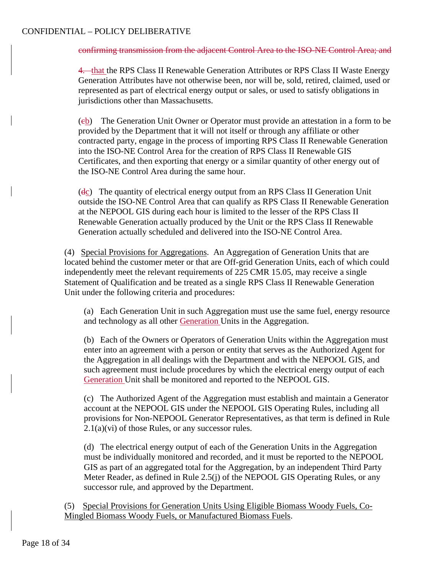#### confirming transmission from the adjacent Control Area to the ISO-NE Control Area; and

4. that the RPS Class II Renewable Generation Attributes or RPS Class II Waste Energy Generation Attributes have not otherwise been, nor will be, sold, retired, claimed, used or represented as part of electrical energy output or sales, or used to satisfy obligations in jurisdictions other than Massachusetts.

(cb) The Generation Unit Owner or Operator must provide an attestation in a form to be provided by the Department that it will not itself or through any affiliate or other contracted party, engage in the process of importing RPS Class II Renewable Generation into the ISO-NE Control Area for the creation of RPS Class II Renewable GIS Certificates, and then exporting that energy or a similar quantity of other energy out of the ISO-NE Control Area during the same hour.

(dc) The quantity of electrical energy output from an RPS Class II Generation Unit outside the ISO-NE Control Area that can qualify as RPS Class II Renewable Generation at the NEPOOL GIS during each hour is limited to the lesser of the RPS Class II Renewable Generation actually produced by the Unit or the RPS Class II Renewable Generation actually scheduled and delivered into the ISO-NE Control Area.

(4) Special Provisions for Aggregations. An Aggregation of Generation Units that are located behind the customer meter or that are Off-grid Generation Units, each of which could independently meet the relevant requirements of 225 CMR 15.05, may receive a single Statement of Qualification and be treated as a single RPS Class II Renewable Generation Unit under the following criteria and procedures:

(a) Each Generation Unit in such Aggregation must use the same fuel, energy resource and technology as all other Generation Units in the Aggregation.

(b) Each of the Owners or Operators of Generation Units within the Aggregation must enter into an agreement with a person or entity that serves as the Authorized Agent for the Aggregation in all dealings with the Department and with the NEPOOL GIS, and such agreement must include procedures by which the electrical energy output of each Generation Unit shall be monitored and reported to the NEPOOL GIS.

(c) The Authorized Agent of the Aggregation must establish and maintain a Generator account at the NEPOOL GIS under the NEPOOL GIS Operating Rules, including all provisions for Non-NEPOOL Generator Representatives, as that term is defined in Rule  $2.1(a)(vi)$  of those Rules, or any successor rules.

(d) The electrical energy output of each of the Generation Units in the Aggregation must be individually monitored and recorded, and it must be reported to the NEPOOL GIS as part of an aggregated total for the Aggregation, by an independent Third Party Meter Reader, as defined in Rule 2.5(j) of the NEPOOL GIS Operating Rules, or any successor rule, and approved by the Department.

(5) Special Provisions for Generation Units Using Eligible Biomass Woody Fuels, Co-Mingled Biomass Woody Fuels, or Manufactured Biomass Fuels.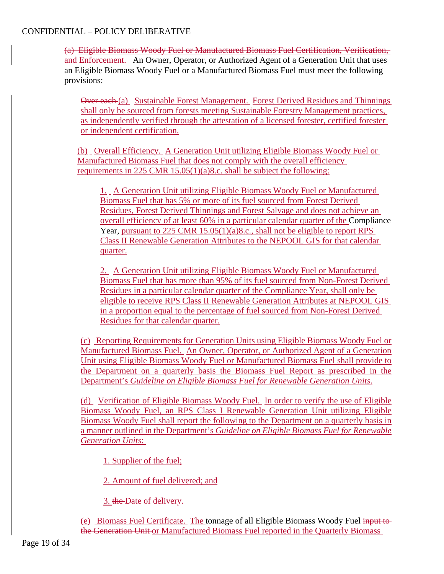(a) Eligible Biomass Woody Fuel or Manufactured Biomass Fuel Certification, Verification, and Enforcement. An Owner, Operator, or Authorized Agent of a Generation Unit that uses an Eligible Biomass Woody Fuel or a Manufactured Biomass Fuel must meet the following provisions:

Over each (a) Sustainable Forest Management. Forest Derived Residues and Thinnings shall only be sourced from forests meeting Sustainable Forestry Management practices, as independently verified through the attestation of a licensed forester, certified forester or independent certification.

(b) Overall Efficiency. A Generation Unit utilizing Eligible Biomass Woody Fuel or Manufactured Biomass Fuel that does not comply with the overall efficiency requirements in 225 CMR 15.05(1)(a)8.c. shall be subject the following:

1. A Generation Unit utilizing Eligible Biomass Woody Fuel or Manufactured Biomass Fuel that has 5% or more of its fuel sourced from Forest Derived Residues, Forest Derived Thinnings and Forest Salvage and does not achieve an overall efficiency of at least 60% in a particular calendar quarter of the Compliance Year, pursuant to 225 CMR 15.05(1)(a)8.c., shall not be eligible to report RPS Class II Renewable Generation Attributes to the NEPOOL GIS for that calendar quarter.

2. A Generation Unit utilizing Eligible Biomass Woody Fuel or Manufactured Biomass Fuel that has more than 95% of its fuel sourced from Non-Forest Derived Residues in a particular calendar quarter of the Compliance Year, shall only be eligible to receive RPS Class II Renewable Generation Attributes at NEPOOL GIS in a proportion equal to the percentage of fuel sourced from Non-Forest Derived Residues for that calendar quarter.

(c) Reporting Requirements for Generation Units using Eligible Biomass Woody Fuel or Manufactured Biomass Fuel. An Owner, Operator, or Authorized Agent of a Generation Unit using Eligible Biomass Woody Fuel or Manufactured Biomass Fuel shall provide to the Department on a quarterly basis the Biomass Fuel Report as prescribed in the Department's *Guideline on Eligible Biomass Fuel for Renewable Generation Units*.

(d) Verification of Eligible Biomass Woody Fuel. In order to verify the use of Eligible Biomass Woody Fuel, an RPS Class I Renewable Generation Unit utilizing Eligible Biomass Woody Fuel shall report the following to the Department on a quarterly basis in a manner outlined in the Department's *Guideline on Eligible Biomass Fuel for Renewable Generation Units*:

1. Supplier of the fuel;

2. Amount of fuel delivered; and

3. the Date of delivery.

(e) Biomass Fuel Certificate. The tonnage of all Eligible Biomass Woody Fuel input to the Generation Unit or Manufactured Biomass Fuel reported in the Quarterly Biomass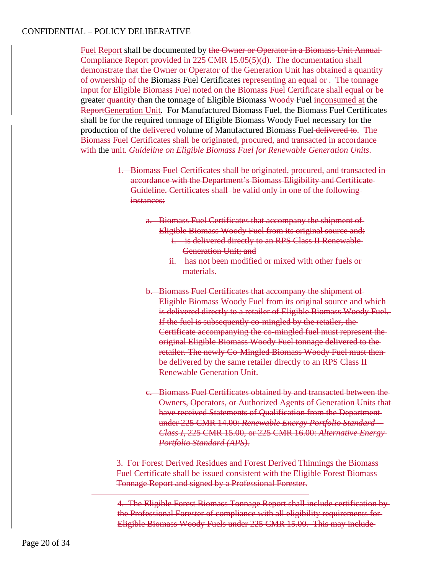Fuel Report shall be documented by the Owner or Operator in a Biomass Unit Annual Compliance Report provided in 225 CMR 15.05(5)(d). The documentation shall demonstrate that the Owner or Operator of the Generation Unit has obtained a quantity of ownership of the Biomass Fuel Certificates representing an equal or . The tonnage input for Eligible Biomass Fuel noted on the Biomass Fuel Certificate shall equal or be greater quantity than the tonnage of Eligible Biomass Woody Fuel inconsumed at the ReportGeneration Unit. For Manufactured Biomass Fuel, the Biomass Fuel Certificates shall be for the required tonnage of Eligible Biomass Woody Fuel necessary for the production of the delivered volume of Manufactured Biomass Fuel delivered to. The Biomass Fuel Certificates shall be originated, procured, and transacted in accordance with the unit. *Guideline on Eligible Biomass Fuel for Renewable Generation Units*.

- 1. Biomass Fuel Certificates shall be originated, procured, and transacted in accordance with the Department's Biomass Eligibility and Certificate Guideline. Certificates shall be valid only in one of the following instances:
	- a. Biomass Fuel Certificates that accompany the shipment of Eligible Biomass Woody Fuel from its original source and: i. is delivered directly to an RPS Class II Renewable Generation Unit; and
		- ii. has not been modified or mixed with other fuels or materials.
	- b. Biomass Fuel Certificates that accompany the shipment of Eligible Biomass Woody Fuel from its original source and which is delivered directly to a retailer of Eligible Biomass Woody Fuel. If the fuel is subsequently co-mingled by the retailer, the Certificate accompanying the co-mingled fuel must represent the original Eligible Biomass Woody Fuel tonnage delivered to the retailer. The newly Co-Mingled Biomass Woody Fuel must then be delivered by the same retailer directly to an RPS Class II Renewable Generation Unit.
	- c. Biomass Fuel Certificates obtained by and transacted between the Owners, Operators, or Authorized Agents of Generation Units that have received Statements of Qualification from the Departmentunder 225 CMR 14.00: *Renewable Energy Portfolio Standard – Class I*, 225 CMR 15.00, or 225 CMR 16.00: *Alternative Energy Portfolio Standard (APS)*.

3. For Forest Derived Residues and Forest Derived Thinnings the Biomass Fuel Certificate shall be issued consistent with the Eligible Forest Biomass Tonnage Report and signed by a Professional Forester.

4. The Eligible Forest Biomass Tonnage Report shall include certification by the Professional Forester of compliance with all eligibility requirements for Eligible Biomass Woody Fuels under 225 CMR 15.00. This may include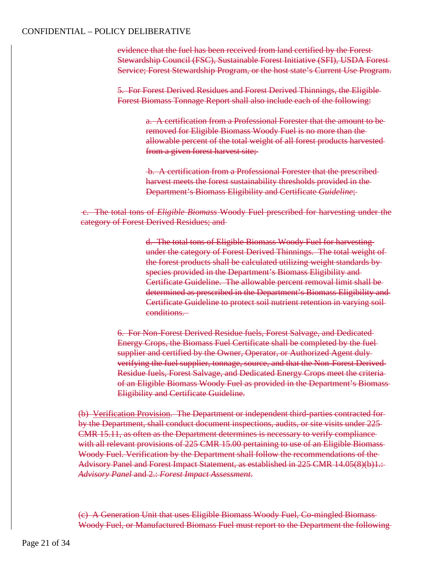evidence that the fuel has been received from land certified by the Forest Stewardship Council (FSC), Sustainable Forest Initiative (SFI), USDA Forest Service; Forest Stewardship Program, or the host state's Current Use Program.

5. For Forest Derived Residues and Forest Derived Thinnings, the Eligible Forest Biomass Tonnage Report shall also include each of the following:

> a. A certification from a Professional Forester that the amount to be removed for Eligible Biomass Woody Fuel is no more than the allowable percent of the total weight of all forest products harvested from a given forest harvest site;

b. A certification from a Professional Forester that the prescribed harvest meets the forest sustainability thresholds provided in the Department's Biomass Eligibility and Certificate *Guideline*;

c. The total tons of *Eligible Biomass* Woody Fuel prescribed for harvesting under the category of Forest Derived Residues; and

> d. The total tons of Eligible Biomass Woody Fuel for harvesting under the category of Forest Derived Thinnings. The total weight of the forest products shall be calculated utilizing weight standards by species provided in the Department's Biomass Eligibility and Certificate Guideline. The allowable percent removal limit shall be determined as prescribed in the Department's Biomass Eligibility and Certificate Guideline to protect soil nutrient retention in varying soil conditions.

6. For Non-Forest Derived Residue fuels, Forest Salvage, and Dedicated Energy Crops, the Biomass Fuel Certificate shall be completed by the fuel supplier and certified by the Owner, Operator, or Authorized Agent duly verifying the fuel supplier, tonnage, source, and that the Non-Forest Derived Residue fuels, Forest Salvage, and Dedicated Energy Crops meet the criteria of an Eligible Biomass Woody Fuel as provided in the Department's Biomass Eligibility and Certificate Guideline.

(b) Verification Provision. The Department or independent third-parties contracted for by the Department, shall conduct document inspections, audits, or site visits under 225 CMR 15.11, as often as the Department determines is necessary to verify compliance with all relevant provisions of 225 CMR 15.00 pertaining to use of an Eligible Biomass Woody Fuel. Verification by the Department shall follow the recommendations of the Advisory Panel and Forest Impact Statement, as established in 225 CMR 14.05(8)(b)1.: *Advisory Panel* and 2.: *Forest Impact Assessment*.

(c) A Generation Unit that uses Eligible Biomass Woody Fuel, Co-mingled Biomass Woody Fuel, or Manufactured Biomass Fuel must report to the Department the following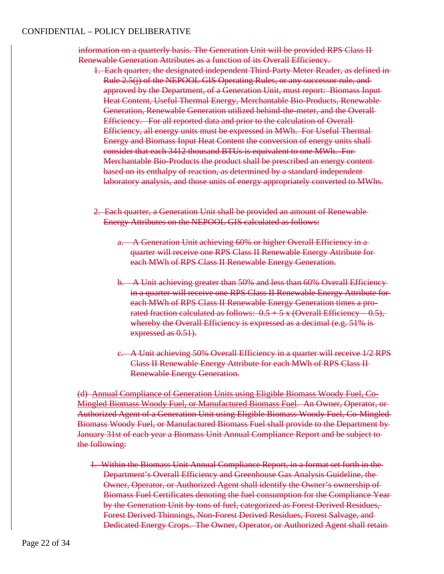information on a quarterly basis. The Generation Unit will be provided RPS Class II Renewable Generation Attributes as a function of its Overall Efficiency.

- 1. Each quarter, the designated independent Third-Party Meter Reader, as defined in Rule 2.5(j) of the NEPOOL GIS Operating Rules, or any successor rule, and approved by the Department, of a Generation Unit, must report: Biomass Input Heat Content, Useful Thermal Energy, Merchantable Bio-Products, Renewable Generation, Renewable Generation utilized behind-the-meter, and the Overall Efficiency. For all reported data and prior to the calculation of Overall Efficiency, all energy units must be expressed in MWh. For Useful Thermal Energy and Biomass Input Heat Content the conversion of energy units shall consider that each 3412 thousand BTUs is equivalent to one MWh. For Merchantable Bio-Products the product shall be prescribed an energy content based on its enthalpy of reaction, as determined by a standard independent laboratory analysis, and those units of energy appropriately converted to MWhs.
- 2. Each quarter, a Generation Unit shall be provided an amount of Renewable Energy Attributes on the NEPOOL GIS calculated as follows:
	- a. A Generation Unit achieving 60% or higher Overall Efficiency in a quarter will receive one RPS Class II Renewable Energy Attribute for each MWh of RPS Class II Renewable Energy Generation.
	- b. A Unit achieving greater than 50% and less than 60% Overall Efficiency in a quarter will receive one RPS Class II Renewable Energy Attribute for each MWh of RPS Class II Renewable Energy Generation times a prorated fraction calculated as follows:  $0.5 + 5x$  (Overall Efficiency  $-0.5$ ), whereby the Overall Efficiency is expressed as a decimal (e.g. 51% is expressed as  $0.51$ ).
	- c. A Unit achieving 50% Overall Efficiency in a quarter will receive 1/2 RPS Class II Renewable Energy Attribute for each MWh of RPS Class II Renewable Energy Generation.

(d) Annual Compliance of Generation Units using Eligible Biomass Woody Fuel, Co-Mingled Biomass Woody Fuel, or Manufactured Biomass Fuel. An Owner, Operator, or Authorized Agent of a Generation Unit using Eligible Biomass Woody Fuel, Co-Mingled Biomass Woody Fuel, or Manufactured Biomass Fuel shall provide to the Department by January 31st of each year a Biomass Unit Annual Compliance Report and be subject to the following:

1. Within the Biomass Unit Annual Compliance Report, in a format set forth in the Department's Overall Efficiency and Greenhouse Gas Analysis Guideline, the Owner, Operator, or Authorized Agent shall identify the Owner's ownership of Biomass Fuel Certificates denoting the fuel consumption for the Compliance Year by the Generation Unit by tons of fuel, categorized as Forest Derived Residues, Forest Derived Thinnings, Non-Forest Derived Residues, Forest Salvage, and Dedicated Energy Crops. The Owner, Operator, or Authorized Agent shall retain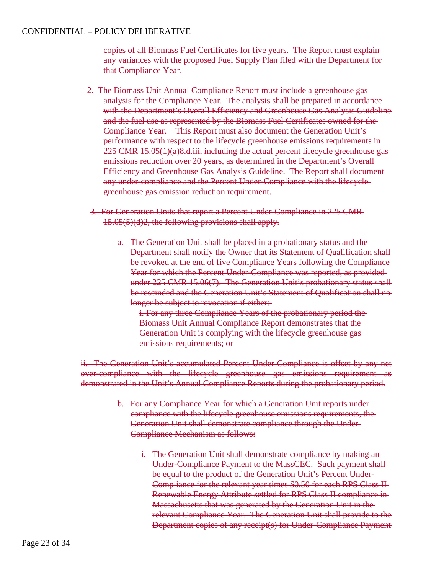copies of all Biomass Fuel Certificates for five years. The Report must explain any variances with the proposed Fuel Supply Plan filed with the Department for that Compliance Year.

- 2. The Biomass Unit Annual Compliance Report must include a greenhouse gas analysis for the Compliance Year. The analysis shall be prepared in accordance with the Department's Overall Efficiency and Greenhouse Gas Analysis Guideline and the fuel use as represented by the Biomass Fuel Certificates owned for the Compliance Year. This Report must also document the Generation Unit's performance with respect to the lifecycle greenhouse emissions requirements in  $225$  CMR  $15.05(1)(a)8.d.iii$ , including the actual percent lifecycle greenhouse gasemissions reduction over 20 years, as determined in the Department's Overall Efficiency and Greenhouse Gas Analysis Guideline. The Report shall document any under-compliance and the Percent Under-Compliance with the lifecycle greenhouse gas emission reduction requirement.
- 3. For Generation Units that report a Percent Under-Compliance in 225 CMR 15.05(5)(d)2, the following provisions shall apply.
	- a. The Generation Unit shall be placed in a probationary status and the Department shall notify the Owner that its Statement of Qualification shall be revoked at the end of five Compliance Years following the Compliance Year for which the Percent Under-Compliance was reported, as provided under 225 CMR 15.06(7). The Generation Unit's probationary status shall be rescinded and the Generation Unit's Statement of Qualification shall no longer be subject to revocation if either:

i. For any three Compliance Years of the probationary period the Biomass Unit Annual Compliance Report demonstrates that the Generation Unit is complying with the lifecycle greenhouse gas emissions requirements; or

ii. The Generation Unit's accumulated Percent Under-Compliance is offset by any net over-compliance with the lifecycle greenhouse gas emissions requirement as demonstrated in the Unit's Annual Compliance Reports during the probationary period.

- b. For any Compliance Year for which a Generation Unit reports under compliance with the lifecycle greenhouse emissions requirements, the Generation Unit shall demonstrate compliance through the Under-Compliance Mechanism as follows:
	- i. The Generation Unit shall demonstrate compliance by making an Under-Compliance Payment to the MassCEC. Such payment shall be equal to the product of the Generation Unit's Percent Under-Compliance for the relevant year times \$0.50 for each RPS Class II Renewable Energy Attribute settled for RPS Class II compliance in Massachusetts that was generated by the Generation Unit in the relevant Compliance Year. The Generation Unit shall provide to the Department copies of any receipt(s) for Under-Compliance Payment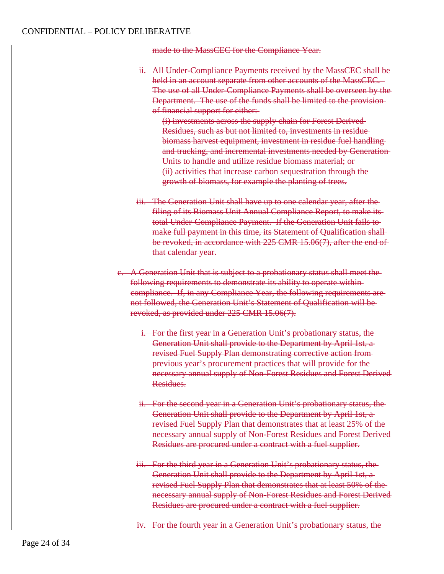made to the MassCEC for the Compliance Year.

ii. All Under-Compliance Payments received by the MassCEC shall be held in an account separate from other accounts of the MassCEC. The use of all Under-Compliance Payments shall be overseen by the Department. The use of the funds shall be limited to the provision of financial support for either:

(i) investments across the supply chain for Forest Derived Residues, such as but not limited to, investments in residue biomass harvest equipment, investment in residue fuel handling and trucking, and incremental investments needed by Generation Units to handle and utilize residue biomass material; or (ii) activities that increase carbon sequestration through the growth of biomass, for example the planting of trees.

- iii. The Generation Unit shall have up to one calendar year, after the filing of its Biomass Unit Annual Compliance Report, to make its total Under-Compliance Payment. If the Generation Unit fails to make full payment in this time, its Statement of Qualification shall be revoked, in accordance with 225 CMR 15.06(7), after the end of that calendar year.
- c. A Generation Unit that is subject to a probationary status shall meet the following requirements to demonstrate its ability to operate within compliance. If, in any Compliance Year, the following requirements are not followed, the Generation Unit's Statement of Qualification will be revoked, as provided under 225 CMR 15.06(7).
	- i. For the first year in a Generation Unit's probationary status, the Generation Unit shall provide to the Department by April 1st, a revised Fuel Supply Plan demonstrating corrective action from previous year's procurement practices that will provide for the necessary annual supply of Non-Forest Residues and Forest Derived Residues.
	- ii. For the second year in a Generation Unit's probationary status, the Generation Unit shall provide to the Department by April 1st, a revised Fuel Supply Plan that demonstrates that at least 25% of the necessary annual supply of Non-Forest Residues and Forest Derived Residues are procured under a contract with a fuel supplier.
	- iii. For the third year in a Generation Unit's probationary status, the Generation Unit shall provide to the Department by April 1st, a revised Fuel Supply Plan that demonstrates that at least 50% of the necessary annual supply of Non-Forest Residues and Forest Derived Residues are procured under a contract with a fuel supplier.
	- iv. For the fourth year in a Generation Unit's probationary status, the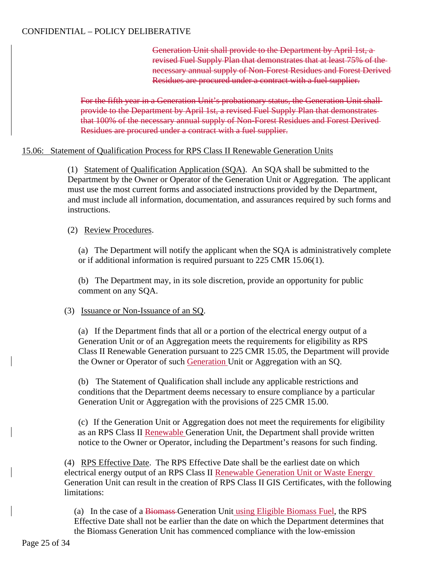Generation Unit shall provide to the Department by April 1st, a revised Fuel Supply Plan that demonstrates that at least 75% of the necessary annual supply of Non-Forest Residues and Forest Derived Residues are procured under a contract with a fuel supplier.

For the fifth year in a Generation Unit's probationary status, the Generation Unit shall provide to the Department by April 1st, a revised Fuel Supply Plan that demonstrates that 100% of the necessary annual supply of Non-Forest Residues and Forest Derived Residues are procured under a contract with a fuel supplier.

#### 15.06: Statement of Qualification Process for RPS Class II Renewable Generation Units

(1) Statement of Qualification Application (SQA). An SQA shall be submitted to the Department by the Owner or Operator of the Generation Unit or Aggregation. The applicant must use the most current forms and associated instructions provided by the Department, and must include all information, documentation, and assurances required by such forms and instructions.

#### (2) Review Procedures.

(a) The Department will notify the applicant when the SQA is administratively complete or if additional information is required pursuant to 225 CMR 15.06(1).

(b) The Department may, in its sole discretion, provide an opportunity for public comment on any SQA.

## (3) Issuance or Non-Issuance of an SQ.

(a) If the Department finds that all or a portion of the electrical energy output of a Generation Unit or of an Aggregation meets the requirements for eligibility as RPS Class II Renewable Generation pursuant to 225 CMR 15.05, the Department will provide the Owner or Operator of such Generation Unit or Aggregation with an SQ.

(b) The Statement of Qualification shall include any applicable restrictions and conditions that the Department deems necessary to ensure compliance by a particular Generation Unit or Aggregation with the provisions of 225 CMR 15.00.

(c) If the Generation Unit or Aggregation does not meet the requirements for eligibility as an RPS Class II Renewable Generation Unit, the Department shall provide written notice to the Owner or Operator, including the Department's reasons for such finding.

(4) RPS Effective Date. The RPS Effective Date shall be the earliest date on which electrical energy output of an RPS Class II Renewable Generation Unit or Waste Energy Generation Unit can result in the creation of RPS Class II GIS Certificates, with the following limitations:

(a) In the case of a Biomass Generation Unit using Eligible Biomass Fuel, the RPS Effective Date shall not be earlier than the date on which the Department determines that the Biomass Generation Unit has commenced compliance with the low-emission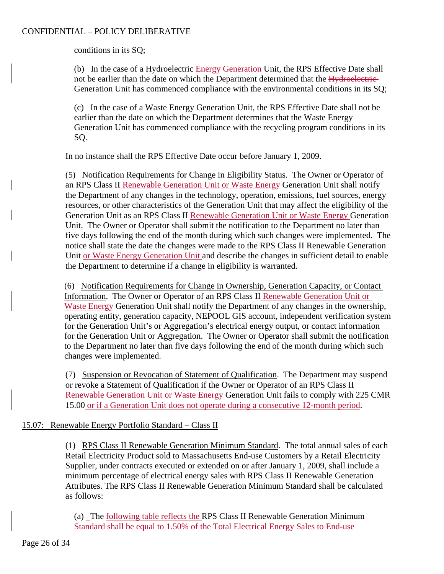conditions in its SQ;

(b) In the case of a Hydroelectric Energy Generation Unit, the RPS Effective Date shall not be earlier than the date on which the Department determined that the Hydroelectric-Generation Unit has commenced compliance with the environmental conditions in its SQ;

(c) In the case of a Waste Energy Generation Unit, the RPS Effective Date shall not be earlier than the date on which the Department determines that the Waste Energy Generation Unit has commenced compliance with the recycling program conditions in its SQ.

In no instance shall the RPS Effective Date occur before January 1, 2009.

(5) Notification Requirements for Change in Eligibility Status. The Owner or Operator of an RPS Class II Renewable Generation Unit or Waste Energy Generation Unit shall notify the Department of any changes in the technology, operation, emissions, fuel sources, energy resources, or other characteristics of the Generation Unit that may affect the eligibility of the Generation Unit as an RPS Class II Renewable Generation Unit or Waste Energy Generation Unit. The Owner or Operator shall submit the notification to the Department no later than five days following the end of the month during which such changes were implemented. The notice shall state the date the changes were made to the RPS Class II Renewable Generation Unit or Waste Energy Generation Unit and describe the changes in sufficient detail to enable the Department to determine if a change in eligibility is warranted.

(6) Notification Requirements for Change in Ownership, Generation Capacity, or Contact Information. The Owner or Operator of an RPS Class II Renewable Generation Unit or Waste Energy Generation Unit shall notify the Department of any changes in the ownership, operating entity, generation capacity, NEPOOL GIS account, independent verification system for the Generation Unit's or Aggregation's electrical energy output, or contact information for the Generation Unit or Aggregation. The Owner or Operator shall submit the notification to the Department no later than five days following the end of the month during which such changes were implemented.

(7) Suspension or Revocation of Statement of Qualification. The Department may suspend or revoke a Statement of Qualification if the Owner or Operator of an RPS Class II Renewable Generation Unit or Waste Energy Generation Unit fails to comply with 225 CMR 15.00 or if a Generation Unit does not operate during a consecutive 12-month period.

## 15.07: Renewable Energy Portfolio Standard – Class II

(1) RPS Class II Renewable Generation Minimum Standard. The total annual sales of each Retail Electricity Product sold to Massachusetts End-use Customers by a Retail Electricity Supplier, under contracts executed or extended on or after January 1, 2009, shall include a minimum percentage of electrical energy sales with RPS Class II Renewable Generation Attributes. The RPS Class II Renewable Generation Minimum Standard shall be calculated as follows:

(a) The following table reflects the RPS Class II Renewable Generation Minimum Standard shall be equal to 1.50% of the Total Electrical Energy Sales to End-use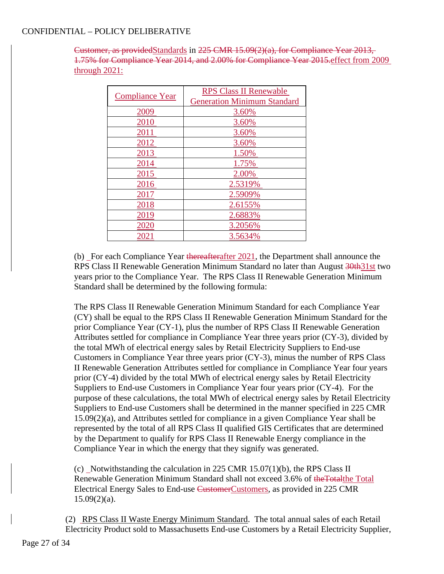Customer, as providedStandards in 225 CMR 15.09(2)(a), for Compliance Year 2013, 1.75% for Compliance Year 2014, and 2.00% for Compliance Year 2015.effect from 2009 through 2021:

| <b>Compliance Year</b> | <b>RPS Class II Renewable</b><br><b>Generation Minimum Standard</b> |
|------------------------|---------------------------------------------------------------------|
| 2009                   | 3.60%                                                               |
| 2010                   | 3.60%                                                               |
| 2011                   | 3.60%                                                               |
| 2012                   | 3.60%                                                               |
| 2013                   | 1.50%                                                               |
| 2014                   | 1.75%                                                               |
| 2015                   | 2.00%                                                               |
| 2016                   | 2.5319%                                                             |
| 2017                   | 2.5909%                                                             |
| 2018                   | 2.6155%                                                             |
| 2019                   | 2.6883%                                                             |
| 2020                   | 3.2056%                                                             |
| 2021                   | 3.5634%                                                             |

(b) For each Compliance Year thereafterafter 2021, the Department shall announce the RPS Class II Renewable Generation Minimum Standard no later than August 30th 31st two years prior to the Compliance Year. The RPS Class II Renewable Generation Minimum Standard shall be determined by the following formula:

The RPS Class II Renewable Generation Minimum Standard for each Compliance Year (CY) shall be equal to the RPS Class II Renewable Generation Minimum Standard for the prior Compliance Year (CY-1), plus the number of RPS Class II Renewable Generation Attributes settled for compliance in Compliance Year three years prior (CY-3), divided by the total MWh of electrical energy sales by Retail Electricity Suppliers to End-use Customers in Compliance Year three years prior (CY-3), minus the number of RPS Class II Renewable Generation Attributes settled for compliance in Compliance Year four years prior (CY-4) divided by the total MWh of electrical energy sales by Retail Electricity Suppliers to End-use Customers in Compliance Year four years prior (CY-4). For the purpose of these calculations, the total MWh of electrical energy sales by Retail Electricity Suppliers to End-use Customers shall be determined in the manner specified in 225 CMR 15.09(2)(a), and Attributes settled for compliance in a given Compliance Year shall be represented by the total of all RPS Class II qualified GIS Certificates that are determined by the Department to qualify for RPS Class II Renewable Energy compliance in the Compliance Year in which the energy that they signify was generated.

(c) Notwithstanding the calculation in 225 CMR  $15.07(1)$ (b), the RPS Class II Renewable Generation Minimum Standard shall not exceed 3.6% of theTotalthe Total Electrical Energy Sales to End-use CustomerCustomers, as provided in 225 CMR  $15.09(2)(a)$ .

(2) RPS Class II Waste Energy Minimum Standard. The total annual sales of each Retail Electricity Product sold to Massachusetts End-use Customers by a Retail Electricity Supplier,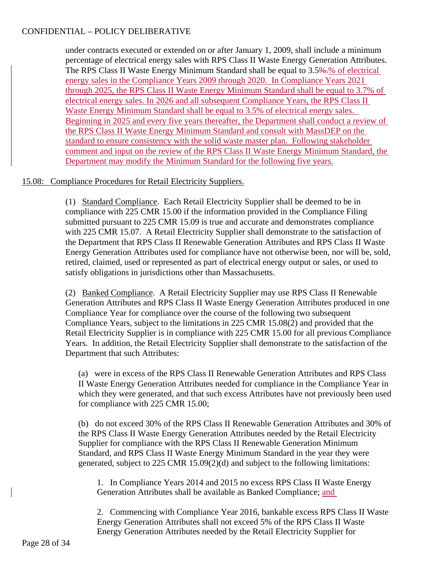under contracts executed or extended on or after January 1, 2009, shall include a minimum percentage of electrical energy sales with RPS Class II Waste Energy Generation Attributes. The RPS Class II Waste Energy Minimum Standard shall be equal to 3.5%.% of electrical energy sales in the Compliance Years 2009 through 2020. In Compliance Years 2021 through 2025, the RPS Class II Waste Energy Minimum Standard shall be equal to 3.7% of electrical energy sales. In 2026 and all subsequent Compliance Years, the RPS Class II Waste Energy Minimum Standard shall be equal to 3.5% of electrical energy sales. Beginning in 2025 and every five years thereafter, the Department shall conduct a review of the RPS Class II Waste Energy Minimum Standard and consult with MassDEP on the standard to ensure consistency with the solid waste master plan. Following stakeholder comment and input on the review of the RPS Class II Waste Energy Minimum Standard, the Department may modify the Minimum Standard for the following five years.

# 15.08: Compliance Procedures for Retail Electricity Suppliers.

(1) Standard Compliance. Each Retail Electricity Supplier shall be deemed to be in compliance with 225 CMR 15.00 if the information provided in the Compliance Filing submitted pursuant to 225 CMR 15.09 is true and accurate and demonstrates compliance with 225 CMR 15.07. A Retail Electricity Supplier shall demonstrate to the satisfaction of the Department that RPS Class II Renewable Generation Attributes and RPS Class II Waste Energy Generation Attributes used for compliance have not otherwise been, nor will be, sold, retired, claimed, used or represented as part of electrical energy output or sales, or used to satisfy obligations in jurisdictions other than Massachusetts.

(2) Banked Compliance. A Retail Electricity Supplier may use RPS Class II Renewable Generation Attributes and RPS Class II Waste Energy Generation Attributes produced in one Compliance Year for compliance over the course of the following two subsequent Compliance Years, subject to the limitations in 225 CMR 15.08(2) and provided that the Retail Electricity Supplier is in compliance with 225 CMR 15.00 for all previous Compliance Years. In addition, the Retail Electricity Supplier shall demonstrate to the satisfaction of the Department that such Attributes:

(a) were in excess of the RPS Class II Renewable Generation Attributes and RPS Class II Waste Energy Generation Attributes needed for compliance in the Compliance Year in which they were generated, and that such excess Attributes have not previously been used for compliance with 225 CMR 15.00;

(b) do not exceed 30% of the RPS Class II Renewable Generation Attributes and 30% of the RPS Class II Waste Energy Generation Attributes needed by the Retail Electricity Supplier for compliance with the RPS Class II Renewable Generation Minimum Standard, and RPS Class II Waste Energy Minimum Standard in the year they were generated, subject to 225 CMR 15.09(2)(d) and subject to the following limitations:

1. In Compliance Years 2014 and 2015 no excess RPS Class II Waste Energy Generation Attributes shall be available as Banked Compliance; and

2. Commencing with Compliance Year 2016, bankable excess RPS Class II Waste Energy Generation Attributes shall not exceed 5% of the RPS Class II Waste Energy Generation Attributes needed by the Retail Electricity Supplier for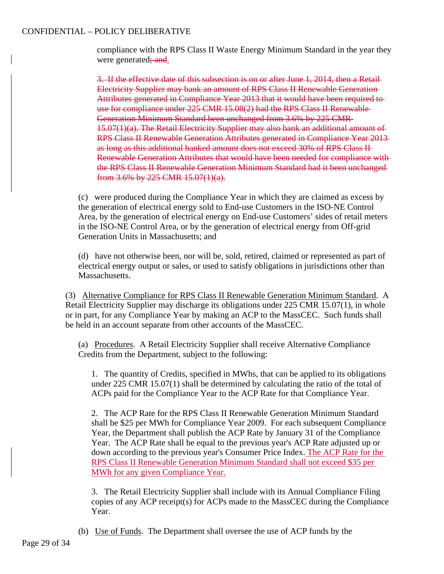compliance with the RPS Class II Waste Energy Minimum Standard in the year they were generated; and.

3. If the effective date of this subsection is on or after June 1, 2014, then a Retail Electricity Supplier may bank an amount of RPS Class II Renewable Generation Attributes generated in Compliance Year 2013 that it would have been required to use for compliance under 225 CMR 15.08(2) had the RPS Class II Renewable Generation Minimum Standard been unchanged from 3.6% by 225 CMR 15.07(1)(a). The Retail Electricity Supplier may also bank an additional amount of RPS Class II Renewable Generation Attributes generated in Compliance Year 2013 as long as this additional banked amount does not exceed 30% of RPS Class II Renewable Generation Attributes that would have been needed for compliance with the RPS Class II Renewable Generation Minimum Standard had it been unchanged from 3.6% by 225 CMR 15.07(1)(a).

(c) were produced during the Compliance Year in which they are claimed as excess by the generation of electrical energy sold to End-use Customers in the ISO-NE Control Area, by the generation of electrical energy on End-use Customers' sides of retail meters in the ISO-NE Control Area, or by the generation of electrical energy from Off-grid Generation Units in Massachusetts; and

(d) have not otherwise been, nor will be, sold, retired, claimed or represented as part of electrical energy output or sales, or used to satisfy obligations in jurisdictions other than Massachusetts.

(3) Alternative Compliance for RPS Class II Renewable Generation Minimum Standard. A Retail Electricity Supplier may discharge its obligations under 225 CMR 15.07(1), in whole or in part, for any Compliance Year by making an ACP to the MassCEC. Such funds shall be held in an account separate from other accounts of the MassCEC.

(a) Procedures. A Retail Electricity Supplier shall receive Alternative Compliance Credits from the Department, subject to the following:

1. The quantity of Credits, specified in MWhs, that can be applied to its obligations under 225 CMR 15.07(1) shall be determined by calculating the ratio of the total of ACPs paid for the Compliance Year to the ACP Rate for that Compliance Year.

2. The ACP Rate for the RPS Class II Renewable Generation Minimum Standard shall be \$25 per MWh for Compliance Year 2009. For each subsequent Compliance Year, the Department shall publish the ACP Rate by January 31 of the Compliance Year. The ACP Rate shall be equal to the previous year's ACP Rate adjusted up or down according to the previous year's Consumer Price Index. The ACP Rate for the RPS Class II Renewable Generation Minimum Standard shall not exceed \$35 per MWh for any given Compliance Year.

3. The Retail Electricity Supplier shall include with its Annual Compliance Filing copies of any ACP receipt(s) for ACPs made to the MassCEC during the Compliance Year.

(b) Use of Funds. The Department shall oversee the use of ACP funds by the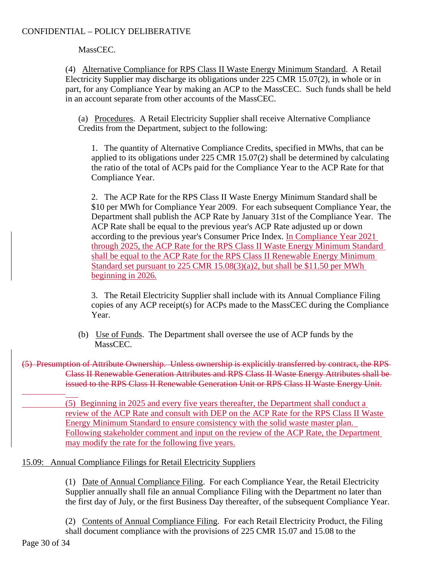MassCEC.

(4) Alternative Compliance for RPS Class II Waste Energy Minimum Standard. A Retail Electricity Supplier may discharge its obligations under 225 CMR 15.07(2), in whole or in part, for any Compliance Year by making an ACP to the MassCEC. Such funds shall be held in an account separate from other accounts of the MassCEC.

(a) Procedures. A Retail Electricity Supplier shall receive Alternative Compliance Credits from the Department, subject to the following:

1. The quantity of Alternative Compliance Credits, specified in MWhs, that can be applied to its obligations under 225 CMR 15.07(2) shall be determined by calculating the ratio of the total of ACPs paid for the Compliance Year to the ACP Rate for that Compliance Year.

2. The ACP Rate for the RPS Class II Waste Energy Minimum Standard shall be \$10 per MWh for Compliance Year 2009. For each subsequent Compliance Year, the Department shall publish the ACP Rate by January 31st of the Compliance Year. The ACP Rate shall be equal to the previous year's ACP Rate adjusted up or down according to the previous year's Consumer Price Index. In Compliance Year 2021 through 2025, the ACP Rate for the RPS Class II Waste Energy Minimum Standard shall be equal to the ACP Rate for the RPS Class II Renewable Energy Minimum Standard set pursuant to 225 CMR 15.08(3)(a)2, but shall be \$11.50 per MWh beginning in 2026.

3. The Retail Electricity Supplier shall include with its Annual Compliance Filing copies of any ACP receipt(s) for ACPs made to the MassCEC during the Compliance Year.

(b) Use of Funds. The Department shall oversee the use of ACP funds by the MassCEC.

(5) Presumption of Attribute Ownership. Unless ownership is explicitly transferred by contract, the RPS Class II Renewable Generation Attributes and RPS Class II Waste Energy Attributes shall be issued to the RPS Class II Renewable Generation Unit or RPS Class II Waste Energy Unit.

> (5) Beginning in 2025 and every five years thereafter, the Department shall conduct a review of the ACP Rate and consult with DEP on the ACP Rate for the RPS Class II Waste Energy Minimum Standard to ensure consistency with the solid waste master plan. Following stakeholder comment and input on the review of the ACP Rate, the Department may modify the rate for the following five years.

# 15.09: Annual Compliance Filings for Retail Electricity Suppliers

(1) Date of Annual Compliance Filing. For each Compliance Year, the Retail Electricity Supplier annually shall file an annual Compliance Filing with the Department no later than the first day of July, or the first Business Day thereafter, of the subsequent Compliance Year.

(2) Contents of Annual Compliance Filing. For each Retail Electricity Product, the Filing shall document compliance with the provisions of 225 CMR 15.07 and 15.08 to the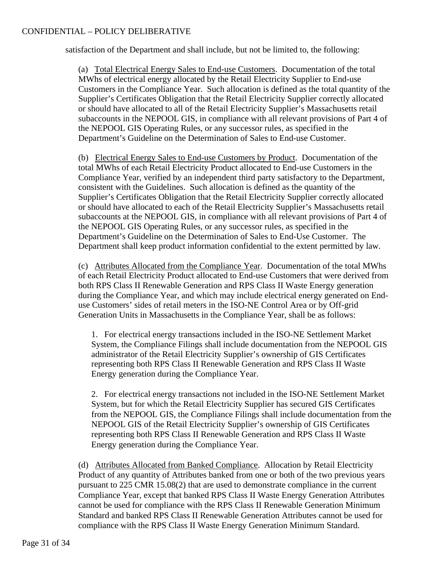satisfaction of the Department and shall include, but not be limited to, the following:

(a) Total Electrical Energy Sales to End-use Customers. Documentation of the total MWhs of electrical energy allocated by the Retail Electricity Supplier to End-use Customers in the Compliance Year. Such allocation is defined as the total quantity of the Supplier's Certificates Obligation that the Retail Electricity Supplier correctly allocated or should have allocated to all of the Retail Electricity Supplier's Massachusetts retail subaccounts in the NEPOOL GIS, in compliance with all relevant provisions of Part 4 of the NEPOOL GIS Operating Rules, or any successor rules, as specified in the Department's Guideline on the Determination of Sales to End-use Customer.

(b) Electrical Energy Sales to End-use Customers by Product. Documentation of the total MWhs of each Retail Electricity Product allocated to End-use Customers in the Compliance Year, verified by an independent third party satisfactory to the Department, consistent with the Guidelines. Such allocation is defined as the quantity of the Supplier's Certificates Obligation that the Retail Electricity Supplier correctly allocated or should have allocated to each of the Retail Electricity Supplier's Massachusetts retail subaccounts at the NEPOOL GIS, in compliance with all relevant provisions of Part 4 of the NEPOOL GIS Operating Rules, or any successor rules, as specified in the Department's Guideline on the Determination of Sales to End-Use Customer. The Department shall keep product information confidential to the extent permitted by law.

(c) Attributes Allocated from the Compliance Year. Documentation of the total MWhs of each Retail Electricity Product allocated to End-use Customers that were derived from both RPS Class II Renewable Generation and RPS Class II Waste Energy generation during the Compliance Year, and which may include electrical energy generated on Enduse Customers' sides of retail meters in the ISO-NE Control Area or by Off-grid Generation Units in Massachusetts in the Compliance Year, shall be as follows:

1. For electrical energy transactions included in the ISO-NE Settlement Market System, the Compliance Filings shall include documentation from the NEPOOL GIS administrator of the Retail Electricity Supplier's ownership of GIS Certificates representing both RPS Class II Renewable Generation and RPS Class II Waste Energy generation during the Compliance Year.

2. For electrical energy transactions not included in the ISO-NE Settlement Market System, but for which the Retail Electricity Supplier has secured GIS Certificates from the NEPOOL GIS, the Compliance Filings shall include documentation from the NEPOOL GIS of the Retail Electricity Supplier's ownership of GIS Certificates representing both RPS Class II Renewable Generation and RPS Class II Waste Energy generation during the Compliance Year.

(d) Attributes Allocated from Banked Compliance. Allocation by Retail Electricity Product of any quantity of Attributes banked from one or both of the two previous years pursuant to 225 CMR 15.08(2) that are used to demonstrate compliance in the current Compliance Year, except that banked RPS Class II Waste Energy Generation Attributes cannot be used for compliance with the RPS Class II Renewable Generation Minimum Standard and banked RPS Class II Renewable Generation Attributes cannot be used for compliance with the RPS Class II Waste Energy Generation Minimum Standard.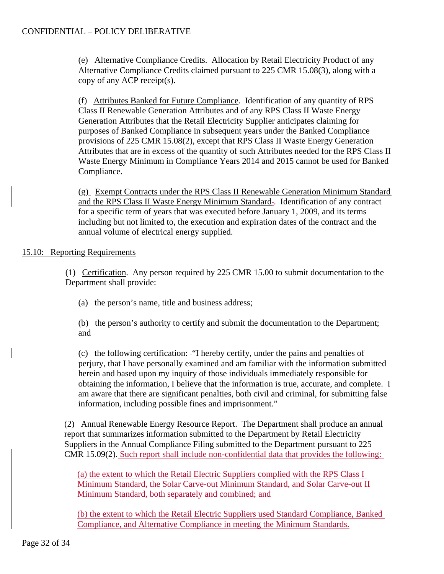(e) Alternative Compliance Credits. Allocation by Retail Electricity Product of any Alternative Compliance Credits claimed pursuant to 225 CMR 15.08(3), along with a copy of any ACP receipt(s).

(f) Attributes Banked for Future Compliance. Identification of any quantity of RPS Class II Renewable Generation Attributes and of any RPS Class II Waste Energy Generation Attributes that the Retail Electricity Supplier anticipates claiming for purposes of Banked Compliance in subsequent years under the Banked Compliance provisions of 225 CMR 15.08(2), except that RPS Class II Waste Energy Generation Attributes that are in excess of the quantity of such Attributes needed for the RPS Class II Waste Energy Minimum in Compliance Years 2014 and 2015 cannot be used for Banked Compliance.

(g) Exempt Contracts under the RPS Class II Renewable Generation Minimum Standard and the RPS Class II Waste Energy Minimum Standard-. Identification of any contract for a specific term of years that was executed before January 1, 2009, and its terms including but not limited to, the execution and expiration dates of the contract and the annual volume of electrical energy supplied.

# 15.10: Reporting Requirements

(1) Certification. Any person required by 225 CMR 15.00 to submit documentation to the Department shall provide:

(a) the person's name, title and business address;

(b) the person's authority to certify and submit the documentation to the Department; and

(c) the following certification: "I hereby certify, under the pains and penalties of perjury, that I have personally examined and am familiar with the information submitted herein and based upon my inquiry of those individuals immediately responsible for obtaining the information, I believe that the information is true, accurate, and complete. I am aware that there are significant penalties, both civil and criminal, for submitting false information, including possible fines and imprisonment."

(2) Annual Renewable Energy Resource Report. The Department shall produce an annual report that summarizes information submitted to the Department by Retail Electricity Suppliers in the Annual Compliance Filing submitted to the Department pursuant to 225 CMR 15.09(2). Such report shall include non-confidential data that provides the following:

(a) the extent to which the Retail Electric Suppliers complied with the RPS Class I Minimum Standard, the Solar Carve-out Minimum Standard, and Solar Carve-out II Minimum Standard, both separately and combined; and

(b) the extent to which the Retail Electric Suppliers used Standard Compliance, Banked Compliance, and Alternative Compliance in meeting the Minimum Standards.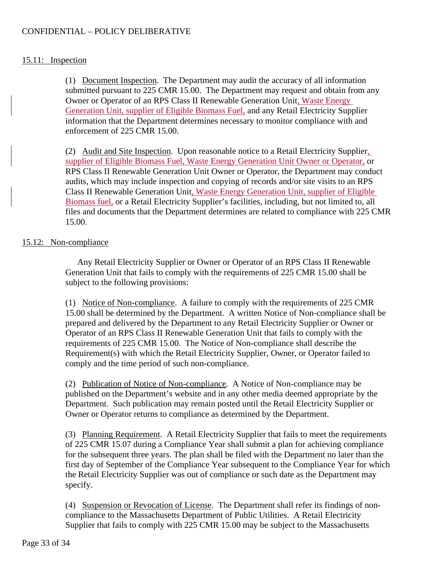# 15.11: Inspection

(1) Document Inspection. The Department may audit the accuracy of all information submitted pursuant to 225 CMR 15.00. The Department may request and obtain from any Owner or Operator of an RPS Class II Renewable Generation Unit, Waste Energy Generation Unit, supplier of Eligible Biomass Fuel, and any Retail Electricity Supplier information that the Department determines necessary to monitor compliance with and enforcement of 225 CMR 15.00.

(2) Audit and Site Inspection. Upon reasonable notice to a Retail Electricity Supplier, supplier of Eligible Biomass Fuel, Waste Energy Generation Unit Owner or Operator, or RPS Class II Renewable Generation Unit Owner or Operator, the Department may conduct audits, which may include inspection and copying of records and/or site visits to an RPS Class II Renewable Generation Unit, Waste Energy Generation Unit, supplier of Eligible Biomass fuel, or a Retail Electricity Supplier's facilities, including, but not limited to, all files and documents that the Department determines are related to compliance with 225 CMR 15.00.

# 15.12: Non-compliance

Any Retail Electricity Supplier or Owner or Operator of an RPS Class II Renewable Generation Unit that fails to comply with the requirements of 225 CMR 15.00 shall be subject to the following provisions:

(1) Notice of Non-compliance. A failure to comply with the requirements of 225 CMR 15.00 shall be determined by the Department. A written Notice of Non-compliance shall be prepared and delivered by the Department to any Retail Electricity Supplier or Owner or Operator of an RPS Class II Renewable Generation Unit that fails to comply with the requirements of 225 CMR 15.00. The Notice of Non-compliance shall describe the Requirement(s) with which the Retail Electricity Supplier, Owner, or Operator failed to comply and the time period of such non-compliance.

(2) Publication of Notice of Non-compliance. A Notice of Non-compliance may be published on the Department's website and in any other media deemed appropriate by the Department. Such publication may remain posted until the Retail Electricity Supplier or Owner or Operator returns to compliance as determined by the Department.

(3) Planning Requirement. A Retail Electricity Supplier that fails to meet the requirements of 225 CMR 15.07 during a Compliance Year shall submit a plan for achieving compliance for the subsequent three years. The plan shall be filed with the Department no later than the first day of September of the Compliance Year subsequent to the Compliance Year for which the Retail Electricity Supplier was out of compliance or such date as the Department may specify.

(4) Suspension or Revocation of License. The Department shall refer its findings of noncompliance to the Massachusetts Department of Public Utilities. A Retail Electricity Supplier that fails to comply with 225 CMR 15.00 may be subject to the Massachusetts